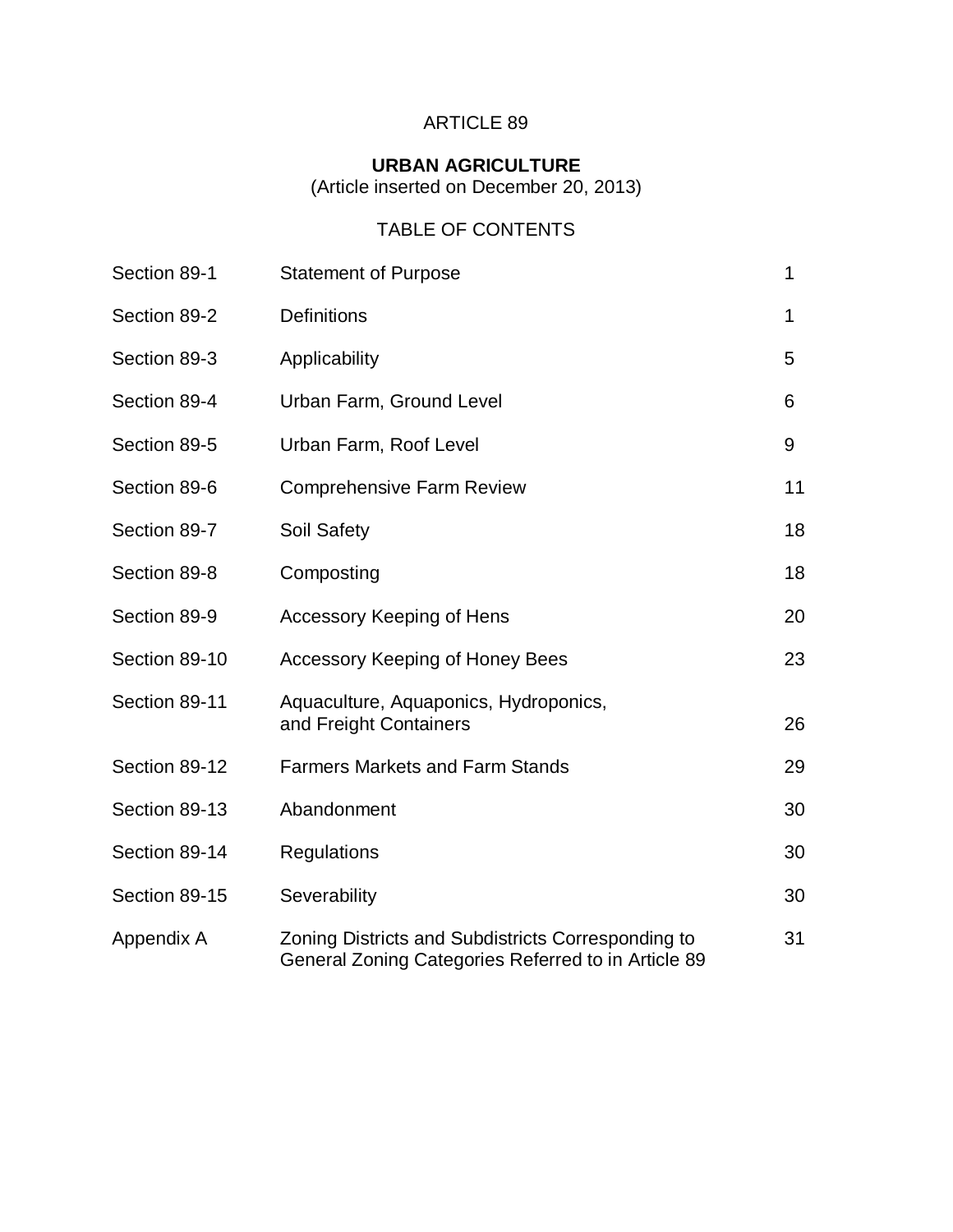# ARTICLE 89

# **URBAN AGRICULTURE**

(Article inserted on December 20, 2013)

# TABLE OF CONTENTS

| Section 89-1  | <b>Statement of Purpose</b>                                                                               | 1  |
|---------------|-----------------------------------------------------------------------------------------------------------|----|
| Section 89-2  | <b>Definitions</b>                                                                                        | 1  |
| Section 89-3  | Applicability                                                                                             | 5  |
| Section 89-4  | Urban Farm, Ground Level                                                                                  | 6  |
| Section 89-5  | Urban Farm, Roof Level                                                                                    | 9  |
| Section 89-6  | <b>Comprehensive Farm Review</b>                                                                          | 11 |
| Section 89-7  | <b>Soil Safety</b>                                                                                        | 18 |
| Section 89-8  | Composting                                                                                                | 18 |
| Section 89-9  | <b>Accessory Keeping of Hens</b>                                                                          | 20 |
| Section 89-10 | <b>Accessory Keeping of Honey Bees</b>                                                                    | 23 |
| Section 89-11 | Aquaculture, Aquaponics, Hydroponics,<br>and Freight Containers                                           | 26 |
| Section 89-12 | <b>Farmers Markets and Farm Stands</b>                                                                    | 29 |
| Section 89-13 | Abandonment                                                                                               | 30 |
| Section 89-14 | Regulations                                                                                               | 30 |
| Section 89-15 | Severability                                                                                              | 30 |
| Appendix A    | Zoning Districts and Subdistricts Corresponding to<br>General Zoning Categories Referred to in Article 89 | 31 |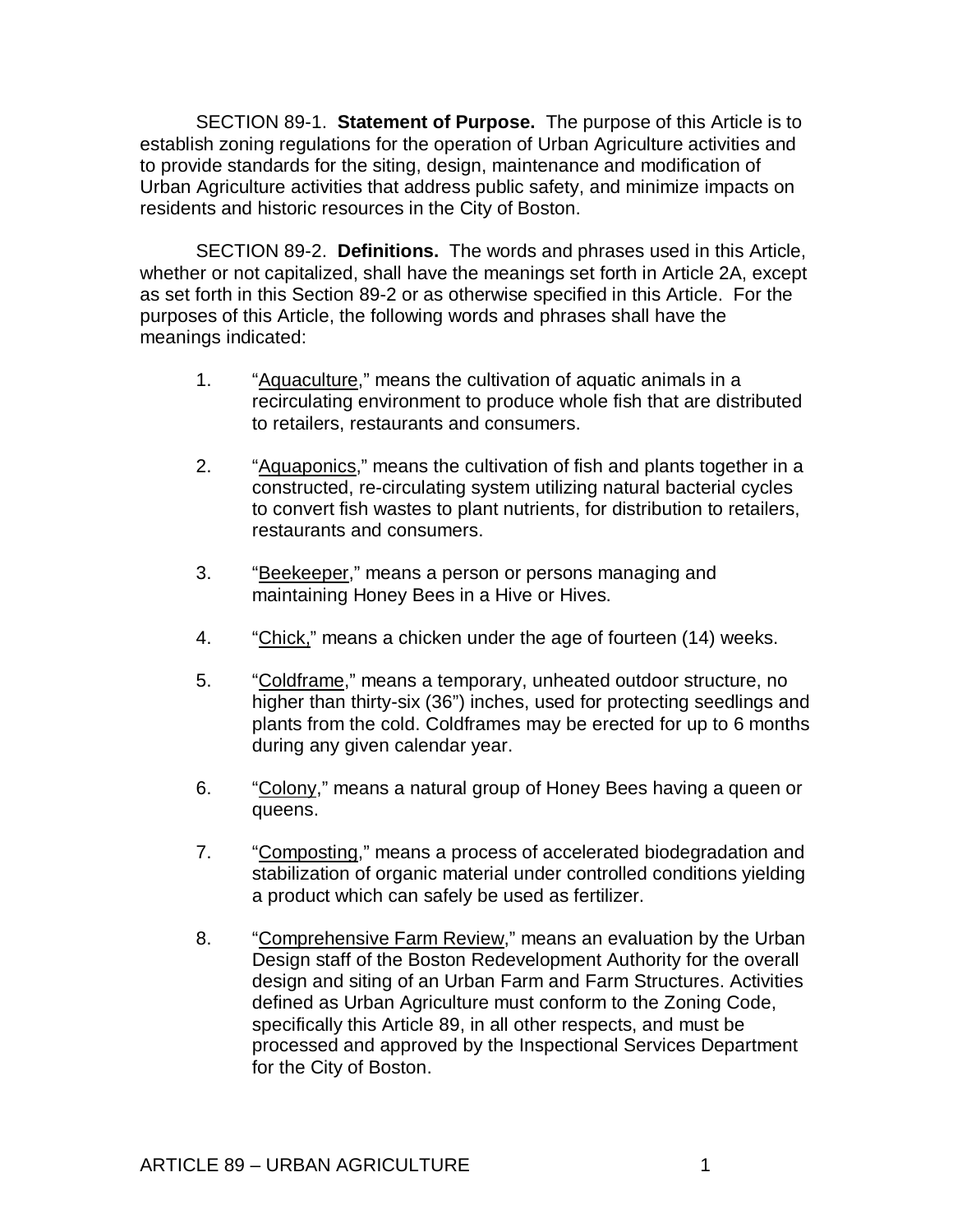SECTION 89-1. **Statement of Purpose.** The purpose of this Article is to establish zoning regulations for the operation of Urban Agriculture activities and to provide standards for the siting, design, maintenance and modification of Urban Agriculture activities that address public safety, and minimize impacts on residents and historic resources in the City of Boston.

SECTION 89-2. **Definitions.** The words and phrases used in this Article, whether or not capitalized, shall have the meanings set forth in Article 2A, except as set forth in this Section 89-2 or as otherwise specified in this Article. For the purposes of this Article, the following words and phrases shall have the meanings indicated:

- 1. "Aquaculture," means the cultivation of aquatic animals in a recirculating environment to produce whole fish that are distributed to retailers, restaurants and consumers.
- 2. "Aquaponics," means the cultivation of fish and plants together in a constructed, re-circulating system utilizing natural bacterial cycles to convert fish wastes to plant nutrients, for distribution to retailers, restaurants and consumers.
- 3. "Beekeeper," means a person or persons managing and maintaining Honey Bees in a Hive or Hives.
- 4. "Chick," means a chicken under the age of fourteen (14) weeks.
- 5. "Coldframe," means a temporary, unheated outdoor structure, no higher than thirty-six (36") inches, used for protecting seedlings and plants from the cold. Coldframes may be erected for up to 6 months during any given calendar year.
- 6. "Colony," means a natural group of Honey Bees having a queen or queens.
- 7. "Composting," means a process of accelerated biodegradation and stabilization of organic material under controlled conditions yielding a product which can safely be used as fertilizer.
- 8. "Comprehensive Farm Review," means an evaluation by the Urban Design staff of the Boston Redevelopment Authority for the overall design and siting of an Urban Farm and Farm Structures. Activities defined as Urban Agriculture must conform to the Zoning Code, specifically this Article 89, in all other respects, and must be processed and approved by the Inspectional Services Department for the City of Boston.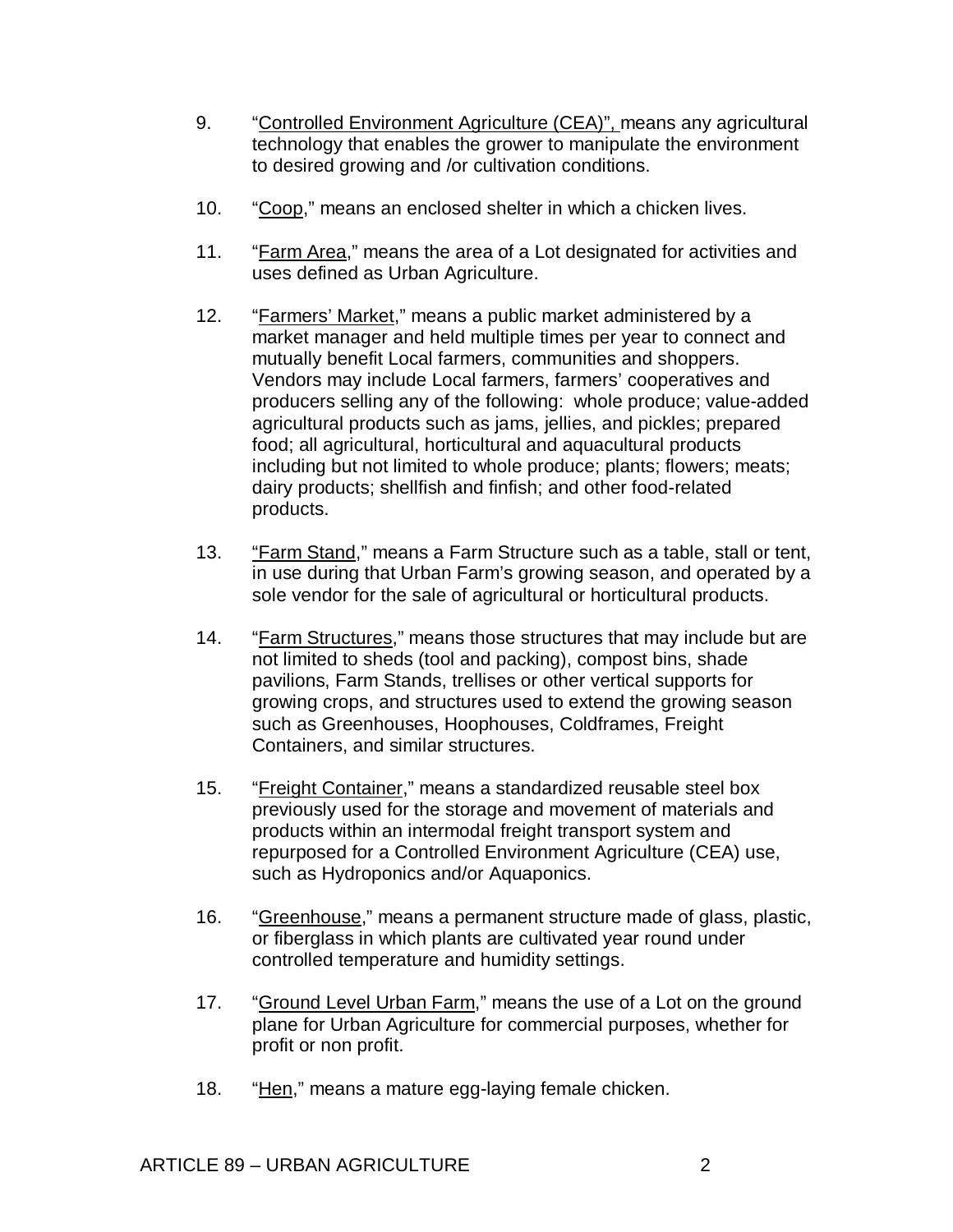- 9. "Controlled Environment Agriculture (CEA)", means any agricultural technology that enables the grower to manipulate the environment to desired growing and /or cultivation conditions.
- 10. "Coop," means an enclosed shelter in which a chicken lives.
- 11. "Farm Area," means the area of a Lot designated for activities and uses defined as Urban Agriculture.
- 12. "Farmers' Market," means a public market administered by a market manager and held multiple times per year to connect and mutually benefit Local farmers, communities and shoppers. Vendors may include Local farmers, farmers' cooperatives and producers selling any of the following: whole produce; value-added agricultural products such as jams, jellies, and pickles; prepared food; all agricultural, horticultural and aquacultural products including but not limited to whole produce; plants; flowers; meats; dairy products; shellfish and finfish; and other food-related products.
- 13. "Farm Stand," means a Farm Structure such as a table, stall or tent, in use during that Urban Farm's growing season, and operated by a sole vendor for the sale of agricultural or horticultural products.
- 14. "Farm Structures," means those structures that may include but are not limited to sheds (tool and packing), compost bins, shade pavilions, Farm Stands, trellises or other vertical supports for growing crops, and structures used to extend the growing season such as Greenhouses, Hoophouses, Coldframes, Freight Containers, and similar structures.
- 15. "Freight Container," means a standardized reusable steel box previously used for the storage and movement of materials and products within an intermodal freight transport system and repurposed for a Controlled Environment Agriculture (CEA) use, such as Hydroponics and/or Aquaponics.
- 16. "Greenhouse," means a permanent structure made of glass, plastic, or fiberglass in which plants are cultivated year round under controlled temperature and humidity settings.
- 17. "Ground Level Urban Farm," means the use of a Lot on the ground plane for Urban Agriculture for commercial purposes, whether for profit or non profit.
- 18. "Hen," means a mature egg-laying female chicken.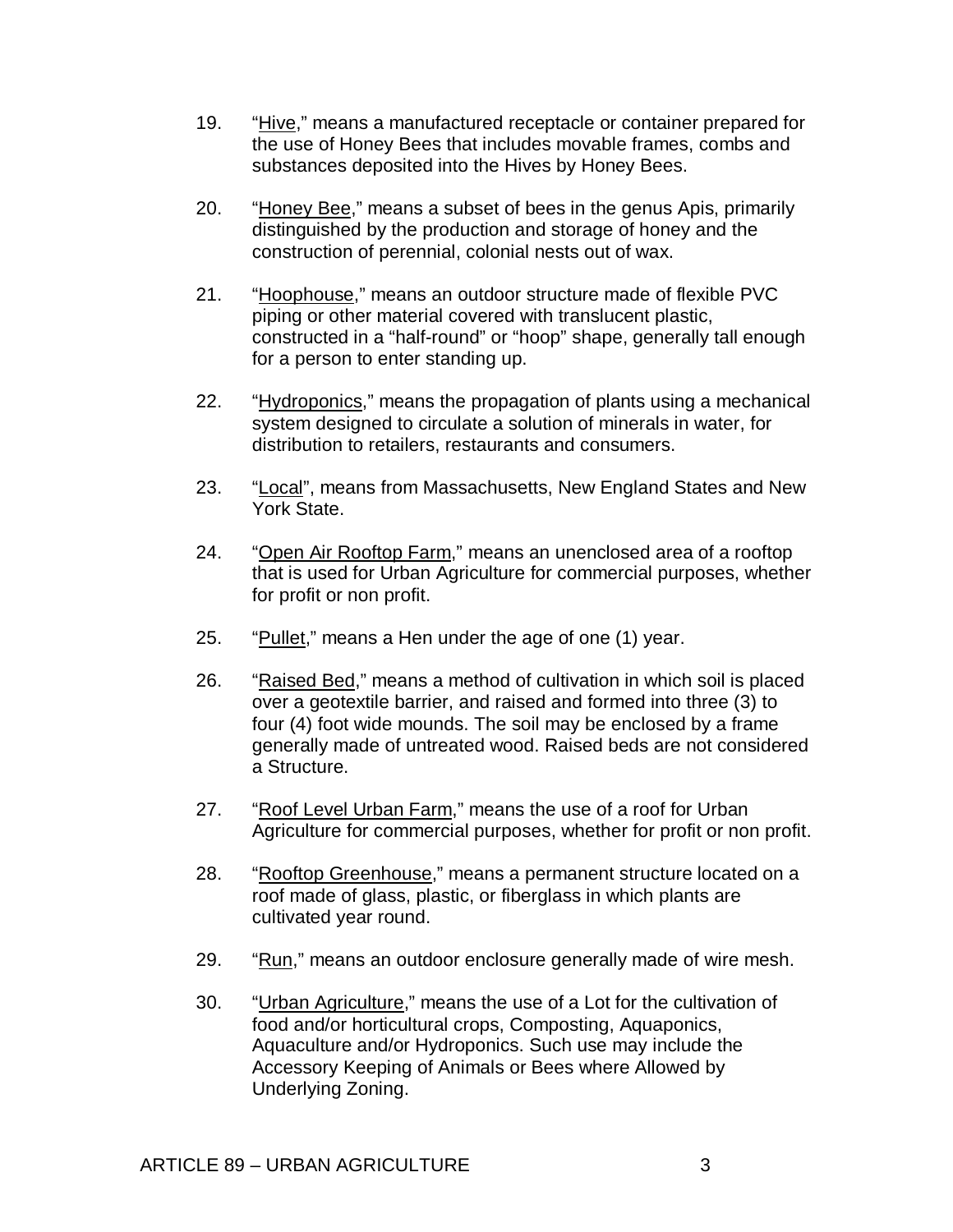- 19. "Hive," means a manufactured receptacle or container prepared for the use of Honey Bees that includes movable frames, combs and substances deposited into the Hives by Honey Bees.
- 20. "Honey Bee," means a subset of bees in the genus Apis, primarily distinguished by the production and storage of honey and the construction of perennial, colonial nests out of wax.
- 21. "Hoophouse," means an outdoor structure made of flexible PVC piping or other material covered with translucent plastic, constructed in a "half-round" or "hoop" shape, generally tall enough for a person to enter standing up.
- 22. "Hydroponics," means the propagation of plants using a mechanical system designed to circulate a solution of minerals in water, for distribution to retailers, restaurants and consumers.
- 23. "Local", means from Massachusetts, New England States and New York State.
- 24. "Open Air Rooftop Farm," means an unenclosed area of a rooftop that is used for Urban Agriculture for commercial purposes, whether for profit or non profit.
- 25. "Pullet," means a Hen under the age of one (1) year.
- 26. "Raised Bed," means a method of cultivation in which soil is placed over a geotextile barrier, and raised and formed into three (3) to four (4) foot wide mounds. The soil may be enclosed by a frame generally made of untreated wood. Raised beds are not considered a Structure.
- 27. "Roof Level Urban Farm," means the use of a roof for Urban Agriculture for commercial purposes, whether for profit or non profit.
- 28. "Rooftop Greenhouse," means a permanent structure located on a roof made of glass, plastic, or fiberglass in which plants are cultivated year round.
- 29. "Run," means an outdoor enclosure generally made of wire mesh.
- 30. "Urban Agriculture," means the use of a Lot for the cultivation of food and/or horticultural crops, Composting, Aquaponics, Aquaculture and/or Hydroponics. Such use may include the Accessory Keeping of Animals or Bees where Allowed by Underlying Zoning.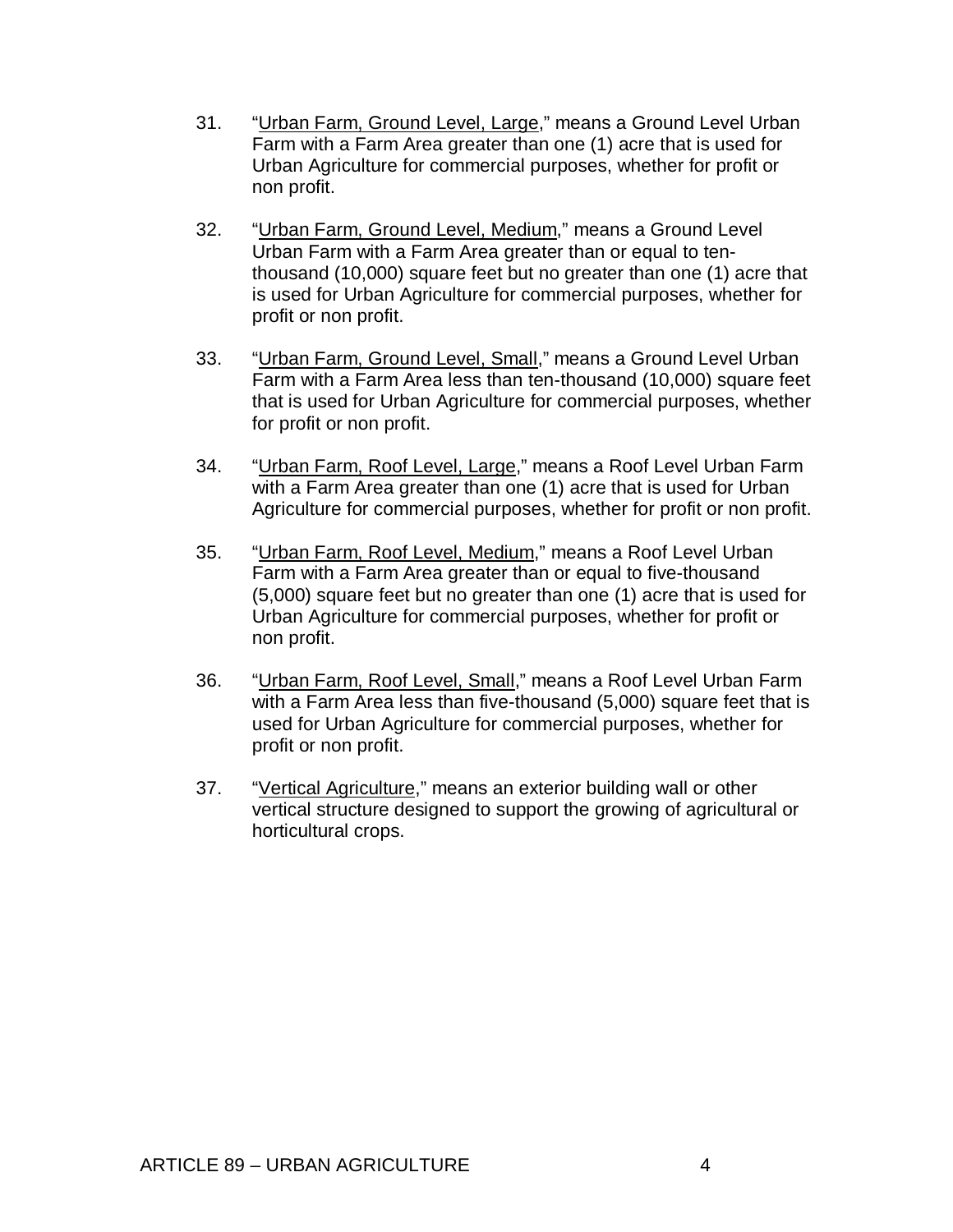- 31. "Urban Farm, Ground Level, Large," means a Ground Level Urban Farm with a Farm Area greater than one (1) acre that is used for Urban Agriculture for commercial purposes, whether for profit or non profit.
- 32. "Urban Farm, Ground Level, Medium," means a Ground Level Urban Farm with a Farm Area greater than or equal to tenthousand (10,000) square feet but no greater than one (1) acre that is used for Urban Agriculture for commercial purposes, whether for profit or non profit.
- 33. "Urban Farm, Ground Level, Small," means a Ground Level Urban Farm with a Farm Area less than ten-thousand (10,000) square feet that is used for Urban Agriculture for commercial purposes, whether for profit or non profit.
- 34. "Urban Farm, Roof Level, Large," means a Roof Level Urban Farm with a Farm Area greater than one (1) acre that is used for Urban Agriculture for commercial purposes, whether for profit or non profit.
- 35. "Urban Farm, Roof Level, Medium," means a Roof Level Urban Farm with a Farm Area greater than or equal to five-thousand (5,000) square feet but no greater than one (1) acre that is used for Urban Agriculture for commercial purposes, whether for profit or non profit.
- 36. "Urban Farm, Roof Level, Small," means a Roof Level Urban Farm with a Farm Area less than five-thousand (5,000) square feet that is used for Urban Agriculture for commercial purposes, whether for profit or non profit.
- 37. "Vertical Agriculture," means an exterior building wall or other vertical structure designed to support the growing of agricultural or horticultural crops.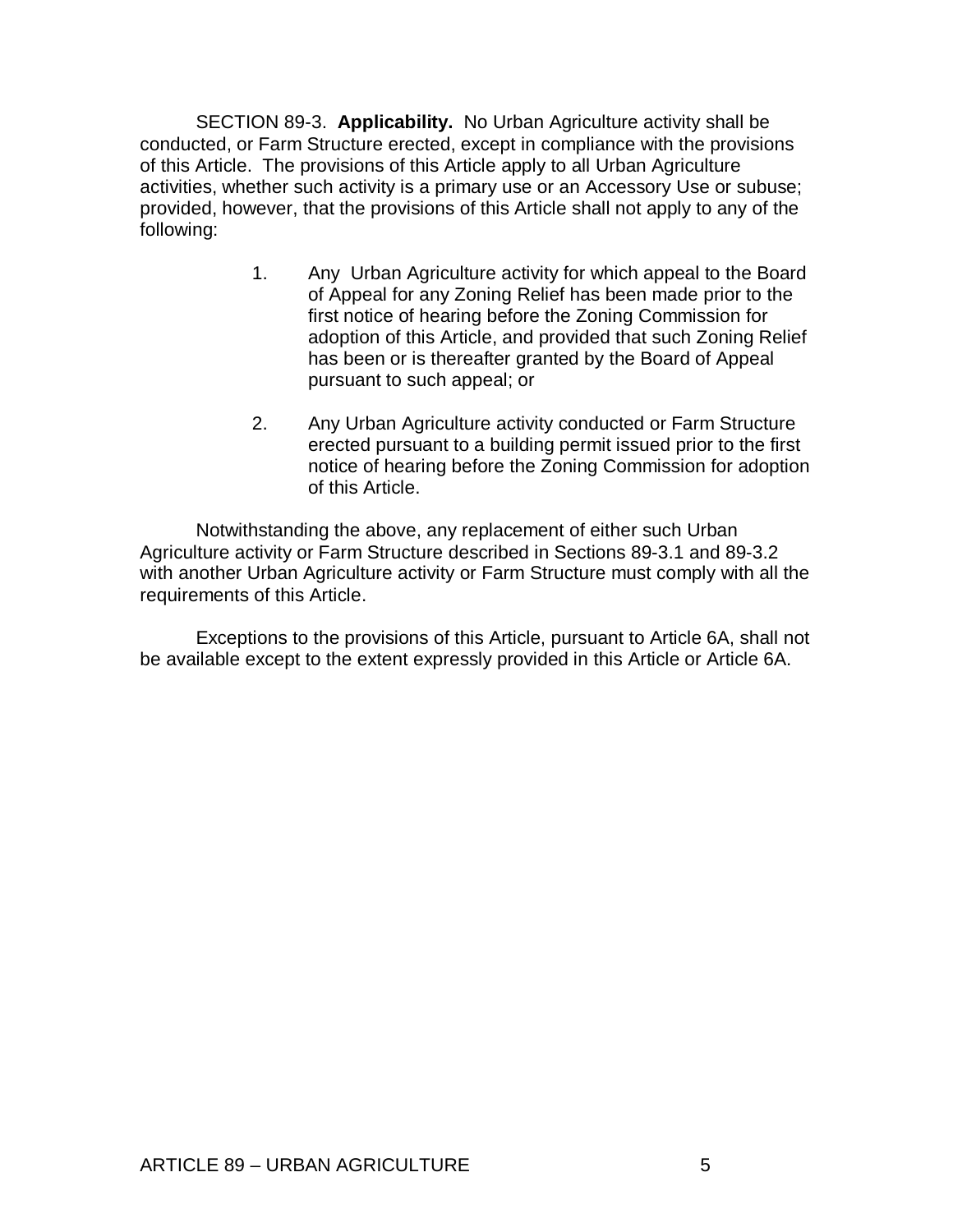SECTION 89-3. **Applicability.** No Urban Agriculture activity shall be conducted, or Farm Structure erected, except in compliance with the provisions of this Article. The provisions of this Article apply to all Urban Agriculture activities, whether such activity is a primary use or an Accessory Use or subuse; provided, however, that the provisions of this Article shall not apply to any of the following:

- 1. Any Urban Agriculture activity for which appeal to the Board of Appeal for any Zoning Relief has been made prior to the first notice of hearing before the Zoning Commission for adoption of this Article, and provided that such Zoning Relief has been or is thereafter granted by the Board of Appeal pursuant to such appeal; or
- 2. Any Urban Agriculture activity conducted or Farm Structure erected pursuant to a building permit issued prior to the first notice of hearing before the Zoning Commission for adoption of this Article.

Notwithstanding the above, any replacement of either such Urban Agriculture activity or Farm Structure described in Sections 89-3.1 and 89-3.2 with another Urban Agriculture activity or Farm Structure must comply with all the requirements of this Article.

Exceptions to the provisions of this Article, pursuant to Article 6A, shall not be available except to the extent expressly provided in this Article or Article 6A.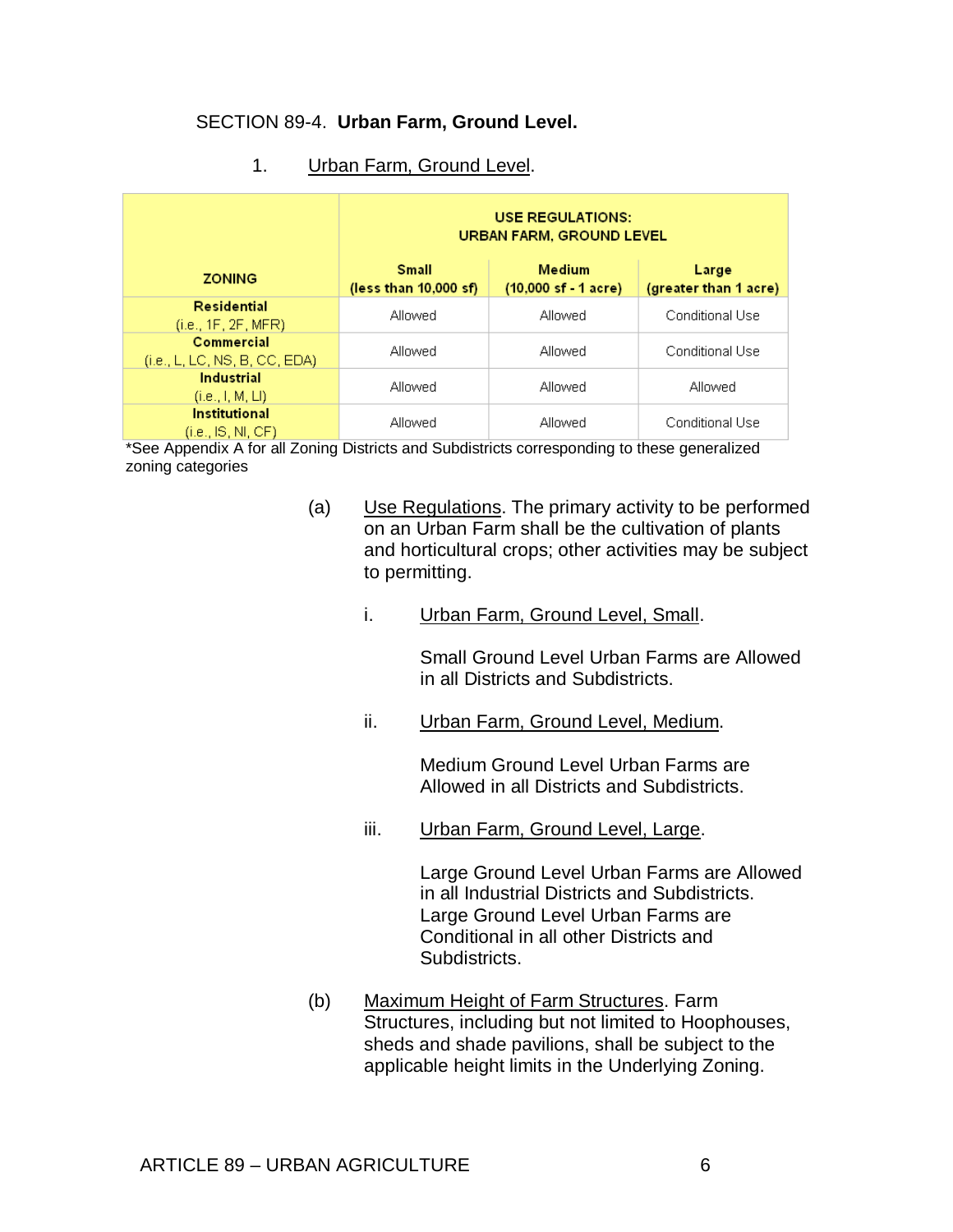# SECTION 89-4. **Urban Farm, Ground Level.**

| Urban Farm, Ground Level.<br>-4 |  |  |
|---------------------------------|--|--|
|---------------------------------|--|--|

|                                             | <b>USE REGULATIONS:</b><br><b>URBAN FARM, GROUND LEVEL</b> |                                                  |                                |  |  |
|---------------------------------------------|------------------------------------------------------------|--------------------------------------------------|--------------------------------|--|--|
| <b>ZONING</b>                               | <b>Small</b><br>(less than $10,000$ sf)                    | Medium<br>$(10,000 \text{ sf} - 1 \text{ acre})$ | Large<br>(greater than 1 acre) |  |  |
| Residential<br>(i.e., 1F, 2F, MFR)          | Allowed                                                    | Allowed                                          | Conditional Use                |  |  |
| Commercial<br>(i.e., L, LC, NS, B, CC, EDA) | Allowed                                                    | Allowed                                          | Conditional Use                |  |  |
| <b>Industrial</b><br>(i.e., 1, M, LI)       | Allowed                                                    | Allowed                                          | Allowed                        |  |  |
| <b>Institutional</b><br>(i.e., IS, NI, CF)  | Allowed                                                    | Allowed                                          | Conditional Use                |  |  |

\*See Appendix A for all Zoning Districts and Subdistricts corresponding to these generalized zoning categories

- (a) Use Regulations. The primary activity to be performed on an Urban Farm shall be the cultivation of plants and horticultural crops; other activities may be subject to permitting.
	- i. Urban Farm, Ground Level, Small.

Small Ground Level Urban Farms are Allowed in all Districts and Subdistricts.

ii. Urban Farm, Ground Level, Medium.

Medium Ground Level Urban Farms are Allowed in all Districts and Subdistricts.

iii. Urban Farm, Ground Level, Large.

Large Ground Level Urban Farms are Allowed in all Industrial Districts and Subdistricts. Large Ground Level Urban Farms are Conditional in all other Districts and Subdistricts.

(b) Maximum Height of Farm Structures. Farm Structures, including but not limited to Hoophouses, sheds and shade pavilions, shall be subject to the applicable height limits in the Underlying Zoning.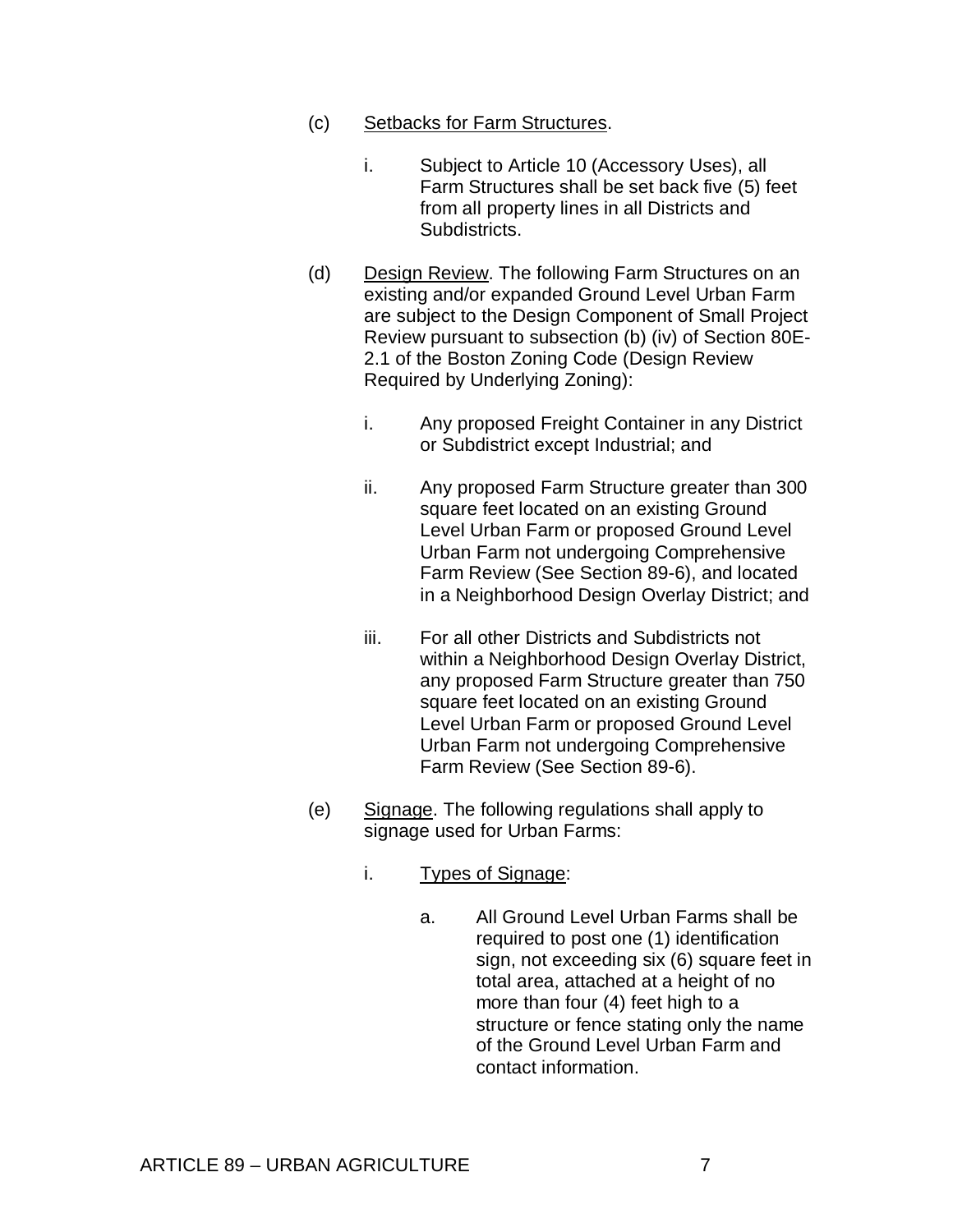- (c) Setbacks for Farm Structures.
	- i. Subject to Article 10 (Accessory Uses), all Farm Structures shall be set back five (5) feet from all property lines in all Districts and Subdistricts.
- (d) Design Review. The following Farm Structures on an existing and/or expanded Ground Level Urban Farm are subject to the Design Component of Small Project Review pursuant to subsection (b) (iv) of Section 80E-2.1 of the Boston Zoning Code (Design Review Required by Underlying Zoning):
	- i. Any proposed Freight Container in any District or Subdistrict except Industrial; and
	- ii. Any proposed Farm Structure greater than 300 square feet located on an existing Ground Level Urban Farm or proposed Ground Level Urban Farm not undergoing Comprehensive Farm Review (See Section 89-6), and located in a Neighborhood Design Overlay District; and
	- iii. For all other Districts and Subdistricts not within a Neighborhood Design Overlay District, any proposed Farm Structure greater than 750 square feet located on an existing Ground Level Urban Farm or proposed Ground Level Urban Farm not undergoing Comprehensive Farm Review (See Section 89-6).
- (e) Signage. The following regulations shall apply to signage used for Urban Farms:
	- i. Types of Signage:
		- a. All Ground Level Urban Farms shall be required to post one (1) identification sign, not exceeding six (6) square feet in total area, attached at a height of no more than four (4) feet high to a structure or fence stating only the name of the Ground Level Urban Farm and contact information.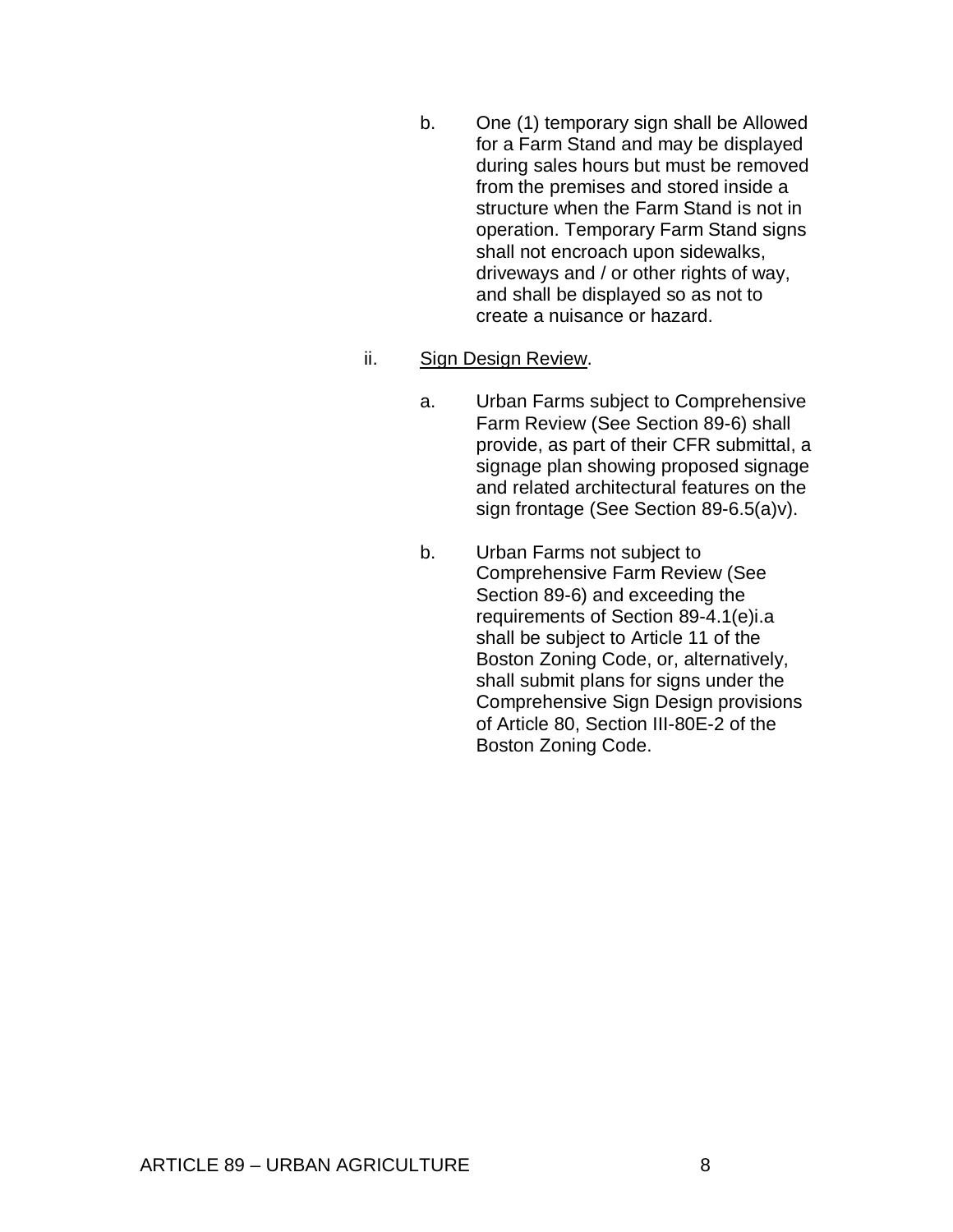- b. One (1) temporary sign shall be Allowed for a Farm Stand and may be displayed during sales hours but must be removed from the premises and stored inside a structure when the Farm Stand is not in operation. Temporary Farm Stand signs shall not encroach upon sidewalks, driveways and / or other rights of way, and shall be displayed so as not to create a nuisance or hazard.
- ii. Sign Design Review.
	- a. Urban Farms subject to Comprehensive Farm Review (See Section 89-6) shall provide, as part of their CFR submittal, a signage plan showing proposed signage and related architectural features on the sign frontage (See Section 89-6.5(a)v).
	- b. Urban Farms not subject to Comprehensive Farm Review (See Section 89-6) and exceeding the requirements of Section 89-4.1(e)i.a shall be subject to Article 11 of the Boston Zoning Code, or, alternatively, shall submit plans for signs under the Comprehensive Sign Design provisions of Article 80, Section III-80E-2 of the Boston Zoning Code.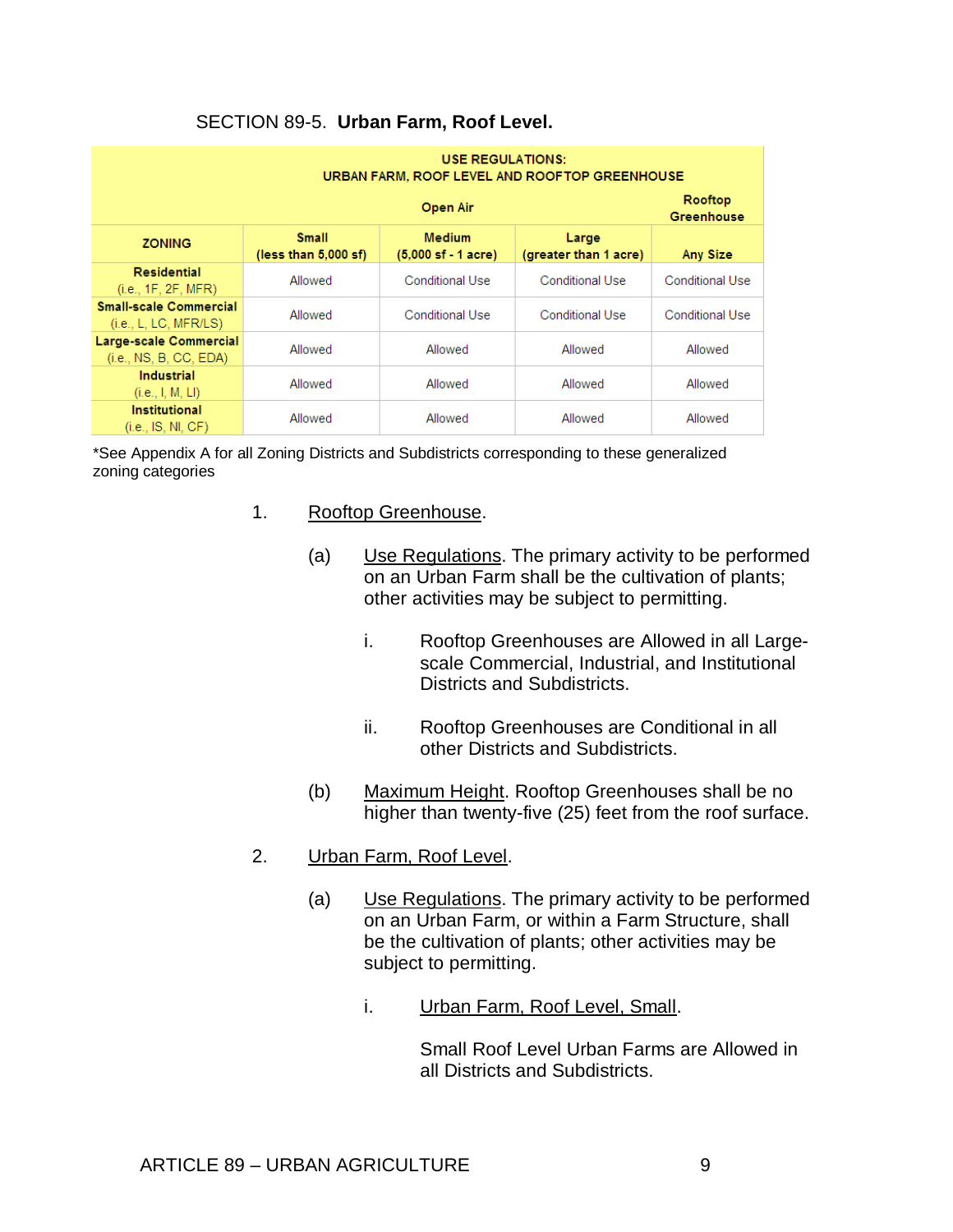| <b>USE REGULATIONS:</b><br>URBAN FARM, ROOF LEVEL AND ROOFTOP GREENHOUSE |                                        |                                                                                          |                        |                 |  |  |  |
|--------------------------------------------------------------------------|----------------------------------------|------------------------------------------------------------------------------------------|------------------------|-----------------|--|--|--|
|                                                                          | Rooftop<br>Greenhouse                  |                                                                                          |                        |                 |  |  |  |
| <b>ZONING</b>                                                            | <b>Small</b><br>(less than $5,000$ sf) | <b>Medium</b><br>Large<br>$(5,000 \text{ sf} - 1 \text{ acre})$<br>(greater than 1 acre) |                        |                 |  |  |  |
| Residential<br>(i.e., 1F, 2F, MFR)                                       | Allowed                                | Conditional Use                                                                          | <b>Conditional Use</b> | Conditional Use |  |  |  |
| <b>Small-scale Commercial</b><br>(i.e., L, LC, MFR/LS)                   | Allowed                                | Conditional Use                                                                          | Conditional Use        | Conditional Use |  |  |  |
| Large-scale Commercial<br>(i.e., NS, B, CC, EDA)                         | Allowed                                | Allowed                                                                                  | Allowed                | Allowed         |  |  |  |
| <b>Industrial</b><br>(i.e., I, M, LI)                                    | Allowed                                | Allowed                                                                                  | Allowed                | Allowed         |  |  |  |
| <b>Institutional</b><br>(i.e., IS, NI, CF)                               | Allowed                                | Allowed                                                                                  | Allowed                | Allowed         |  |  |  |

# SECTION 89-5. **Urban Farm, Roof Level.**

 \*See Appendix A for all Zoning Districts and Subdistricts corresponding to these generalized zoning categories

- 1. Rooftop Greenhouse.
	- (a) Use Regulations. The primary activity to be performed on an Urban Farm shall be the cultivation of plants; other activities may be subject to permitting.
		- i. Rooftop Greenhouses are Allowed in all Largescale Commercial, Industrial, and Institutional Districts and Subdistricts.
		- ii. Rooftop Greenhouses are Conditional in all other Districts and Subdistricts.
	- (b) Maximum Height. Rooftop Greenhouses shall be no higher than twenty-five (25) feet from the roof surface.
- 2. Urban Farm, Roof Level.
	- (a) Use Regulations. The primary activity to be performed on an Urban Farm, or within a Farm Structure, shall be the cultivation of plants; other activities may be subject to permitting.
		- i. Urban Farm, Roof Level, Small.

Small Roof Level Urban Farms are Allowed in all Districts and Subdistricts.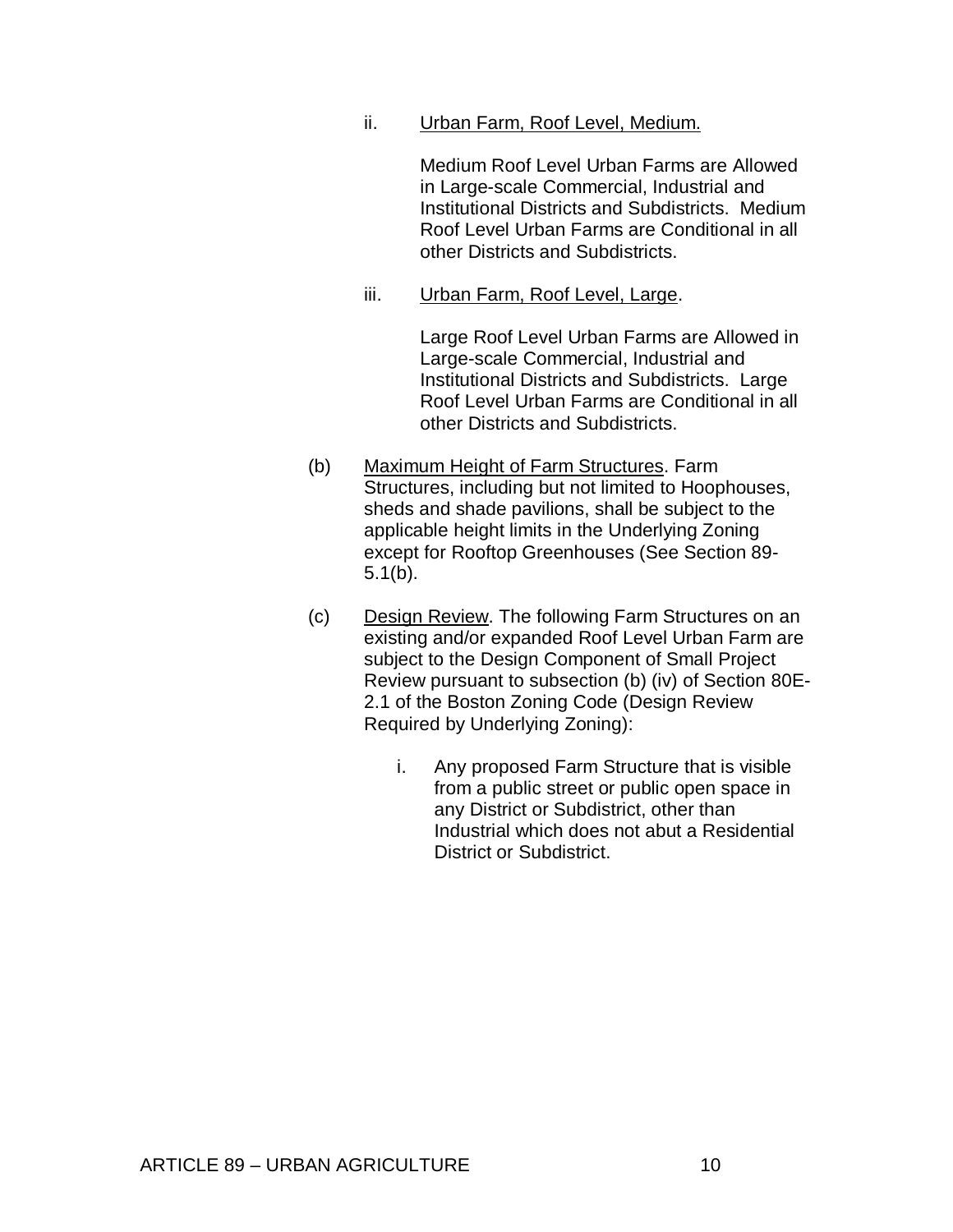ii. Urban Farm, Roof Level, Medium.

Medium Roof Level Urban Farms are Allowed in Large-scale Commercial, Industrial and Institutional Districts and Subdistricts. Medium Roof Level Urban Farms are Conditional in all other Districts and Subdistricts.

iii. Urban Farm, Roof Level, Large.

Large Roof Level Urban Farms are Allowed in Large-scale Commercial, Industrial and Institutional Districts and Subdistricts. Large Roof Level Urban Farms are Conditional in all other Districts and Subdistricts.

- (b) Maximum Height of Farm Structures. Farm Structures, including but not limited to Hoophouses, sheds and shade pavilions, shall be subject to the applicable height limits in the Underlying Zoning except for Rooftop Greenhouses (See Section 89- 5.1(b).
- (c) Design Review. The following Farm Structures on an existing and/or expanded Roof Level Urban Farm are subject to the Design Component of Small Project Review pursuant to subsection (b) (iv) of Section 80E-2.1 of the Boston Zoning Code (Design Review Required by Underlying Zoning):
	- i. Any proposed Farm Structure that is visible from a public street or public open space in any District or Subdistrict, other than Industrial which does not abut a Residential District or Subdistrict.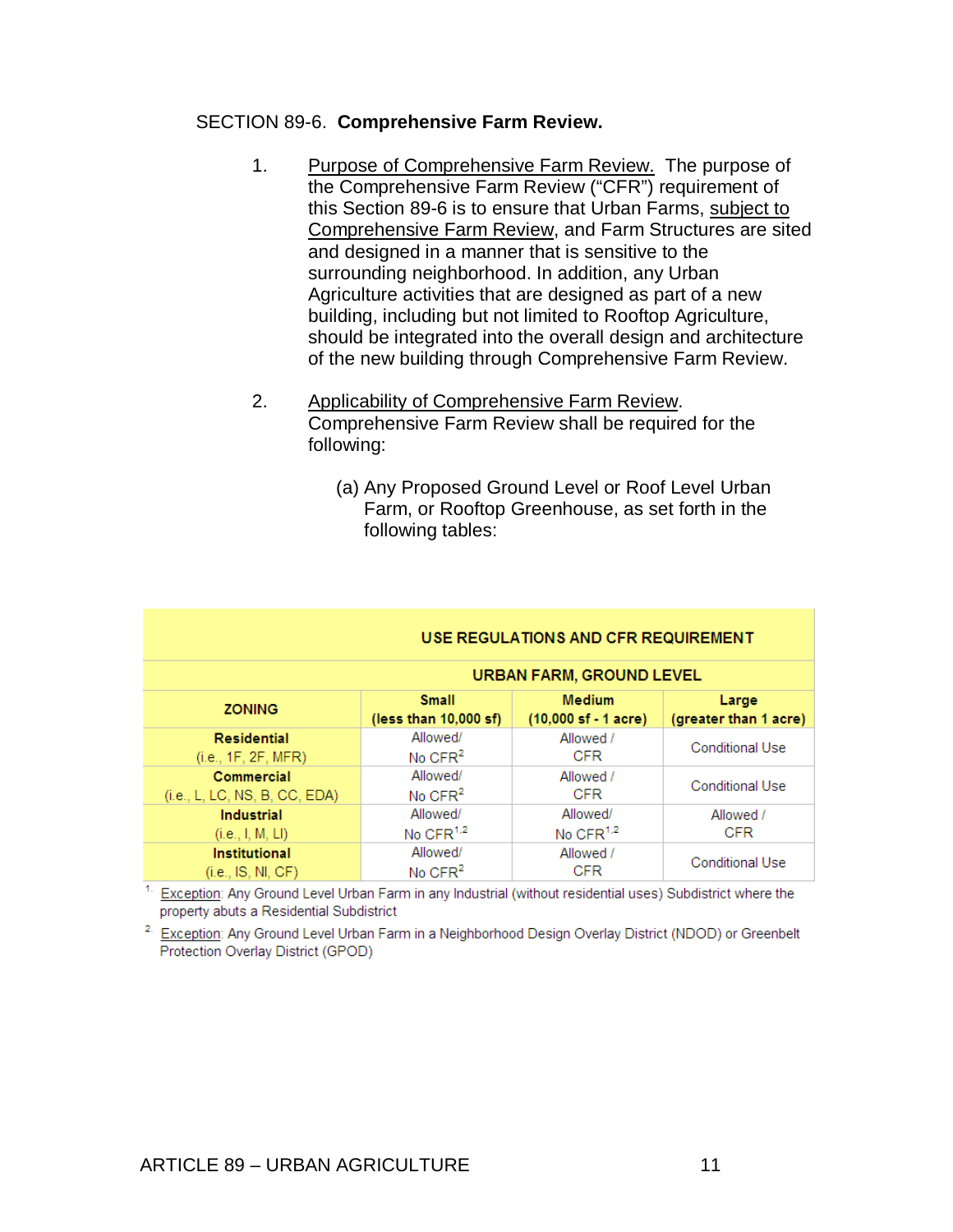#### SECTION 89-6. **Comprehensive Farm Review.**

- 1. Purpose of Comprehensive Farm Review. The purpose of the Comprehensive Farm Review ("CFR") requirement of this Section 89-6 is to ensure that Urban Farms, subject to Comprehensive Farm Review, and Farm Structures are sited and designed in a manner that is sensitive to the surrounding neighborhood. In addition, any Urban Agriculture activities that are designed as part of a new building, including but not limited to Rooftop Agriculture, should be integrated into the overall design and architecture of the new building through Comprehensive Farm Review.
- 2. Applicability of Comprehensive Farm Review. Comprehensive Farm Review shall be required for the following:
	- (a) Any Proposed Ground Level or Roof Level Urban Farm, or Rooftop Greenhouse, as set forth in the following tables:

| USE REGULATIONS AND CFR REQUIREMENT |                                 |                                        |                        |  |  |  |  |
|-------------------------------------|---------------------------------|----------------------------------------|------------------------|--|--|--|--|
|                                     | <b>URBAN FARM, GROUND LEVEL</b> |                                        |                        |  |  |  |  |
| <b>ZONING</b>                       | <b>Small</b>                    | <b>Medium</b>                          | Large                  |  |  |  |  |
|                                     | (less than 10,000 sf)           | $(10,000 \text{ sf} - 1 \text{ acre})$ | (greater than 1 acre)  |  |  |  |  |
| Residential                         | Allowed/                        | Allowed /                              | <b>Conditional Use</b> |  |  |  |  |
| (i.e., 1F, 2F, MFR)                 | No $CFR2$                       | <b>CFR</b>                             |                        |  |  |  |  |
| Commercial                          | Allowed/                        | Allowed /                              | <b>Conditional Use</b> |  |  |  |  |
| (i.e., L, LC, NS, B, CC, EDA)       | No $CFR2$                       | <b>CFR</b>                             |                        |  |  |  |  |
| <b>Industrial</b>                   | Allowed/                        | Allowed/                               | Allowed /              |  |  |  |  |
| (i.e., I, M, LI)                    | No CFR <sup>1,2</sup>           | No CFR <sup>1,2</sup>                  | <b>CFR</b>             |  |  |  |  |
| <b>Institutional</b>                | Allowed/                        | Allowed /                              | <b>Conditional Use</b> |  |  |  |  |
| (i.e., IS, NI, CF)                  | No CFR <sup>2</sup>             | <b>CFR</b>                             |                        |  |  |  |  |

<sup>1.</sup> Exception: Any Ground Level Urban Farm in any Industrial (without residential uses) Subdistrict where the property abuts a Residential Subdistrict

<sup>2.</sup> Exception: Any Ground Level Urban Farm in a Neighborhood Design Overlay District (NDOD) or Greenbelt Protection Overlay District (GPOD)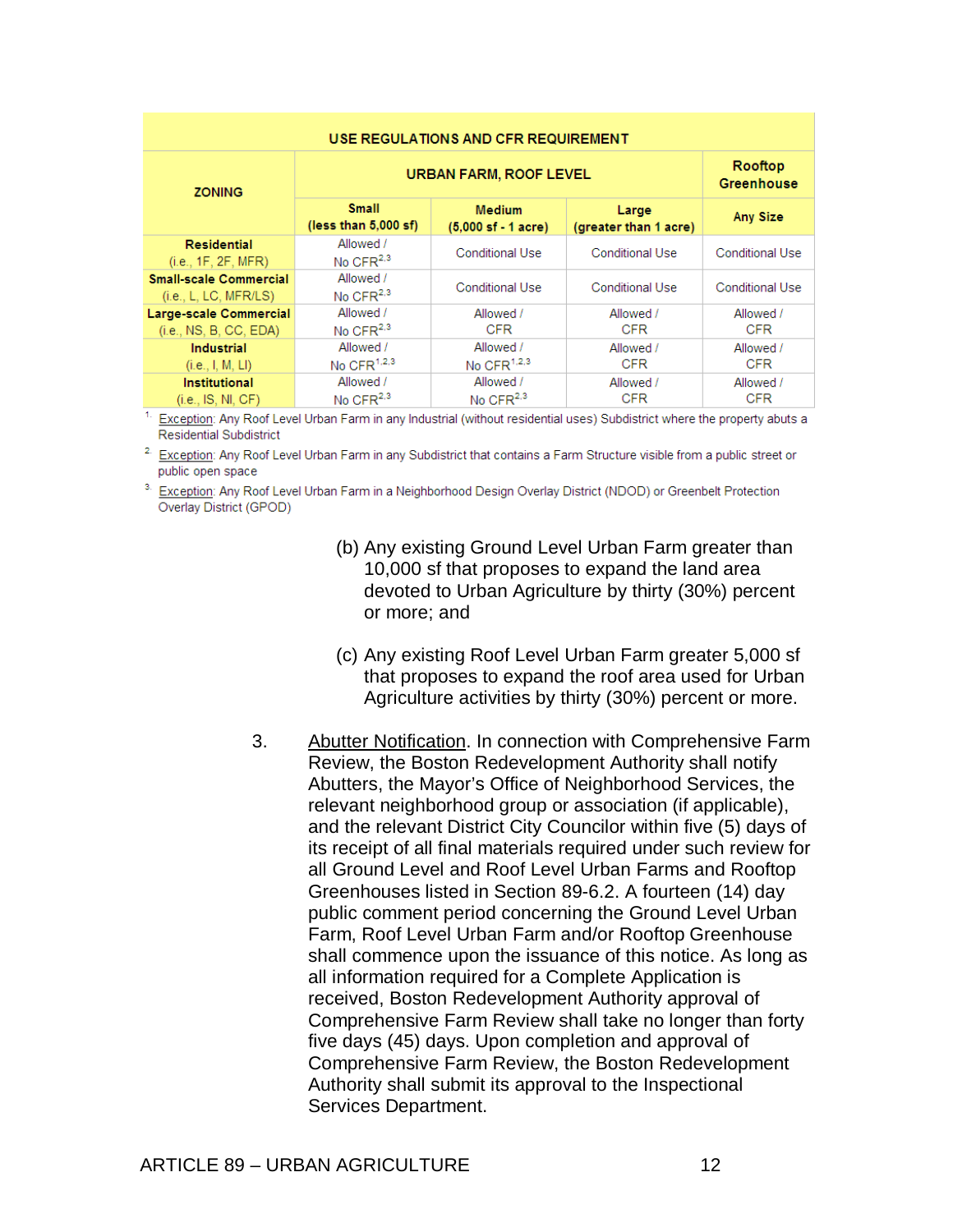| USE REGULATIONS AND CFR REQUIREMENT                    |                                        |                              |                         |                         |  |  |
|--------------------------------------------------------|----------------------------------------|------------------------------|-------------------------|-------------------------|--|--|
| <b>ZONING</b>                                          | <b>URBAN FARM, ROOF LEVEL</b>          | Rooftop<br><b>Greenhouse</b> |                         |                         |  |  |
|                                                        | <b>Small</b><br>(less than $5,000$ sf) | <b>Any Size</b>              |                         |                         |  |  |
| Residential<br>(i.e., 1F, 2F, MFR)                     | Allowed /<br>No $CFR2,3$               | Conditional Use              | <b>Conditional Use</b>  | <b>Conditional Use</b>  |  |  |
| <b>Small-scale Commercial</b><br>(i.e., L, LC, MFR/LS) | Allowed /<br>No CFR $2,3$              | Conditional Use              | <b>Conditional Use</b>  | <b>Conditional Use</b>  |  |  |
| Large-scale Commercial<br>(i.e., NS, B, CC, EDA)       | Allowed /<br>No $CFR2,3$               | Allowed /<br><b>CFR</b>      | Allowed /<br><b>CFR</b> | Allowed /<br><b>CFR</b> |  |  |
| <b>Industrial</b><br>(i.e., I, M, LI)                  | Allowed /<br>No CFR $1,2,3$            | Allowed /<br>No CFR $1,2,3$  | Allowed /<br><b>CFR</b> | Allowed /<br><b>CFR</b> |  |  |
| <b>Institutional</b><br>(i.e., IS, NI, CF)             | Allowed /<br>No CFR $2,3$              | Allowed /<br>No CFR $2,3$    | Allowed /<br><b>CFR</b> | Allowed /<br><b>CFR</b> |  |  |

Exception: Any Roof Level Urban Farm in any Industrial (without residential uses) Subdistrict where the property abuts a **Residential Subdistrict** 

<sup>2.</sup> Exception: Any Roof Level Urban Farm in any Subdistrict that contains a Farm Structure visible from a public street or public open space

<sup>3.</sup> Exception: Any Roof Level Urban Farm in a Neighborhood Design Overlay District (NDOD) or Greenbelt Protection Overlay District (GPOD)

- (b) Any existing Ground Level Urban Farm greater than 10,000 sf that proposes to expand the land area devoted to Urban Agriculture by thirty (30%) percent or more; and
- (c) Any existing Roof Level Urban Farm greater 5,000 sf that proposes to expand the roof area used for Urban Agriculture activities by thirty (30%) percent or more.
- 3. Abutter Notification. In connection with Comprehensive Farm Review, the Boston Redevelopment Authority shall notify Abutters, the Mayor's Office of Neighborhood Services, the relevant neighborhood group or association (if applicable), and the relevant District City Councilor within five (5) days of its receipt of all final materials required under such review for all Ground Level and Roof Level Urban Farms and Rooftop Greenhouses listed in Section 89-6.2. A fourteen (14) day public comment period concerning the Ground Level Urban Farm, Roof Level Urban Farm and/or Rooftop Greenhouse shall commence upon the issuance of this notice. As long as all information required for a Complete Application is received, Boston Redevelopment Authority approval of Comprehensive Farm Review shall take no longer than forty five days (45) days. Upon completion and approval of Comprehensive Farm Review, the Boston Redevelopment Authority shall submit its approval to the Inspectional Services Department.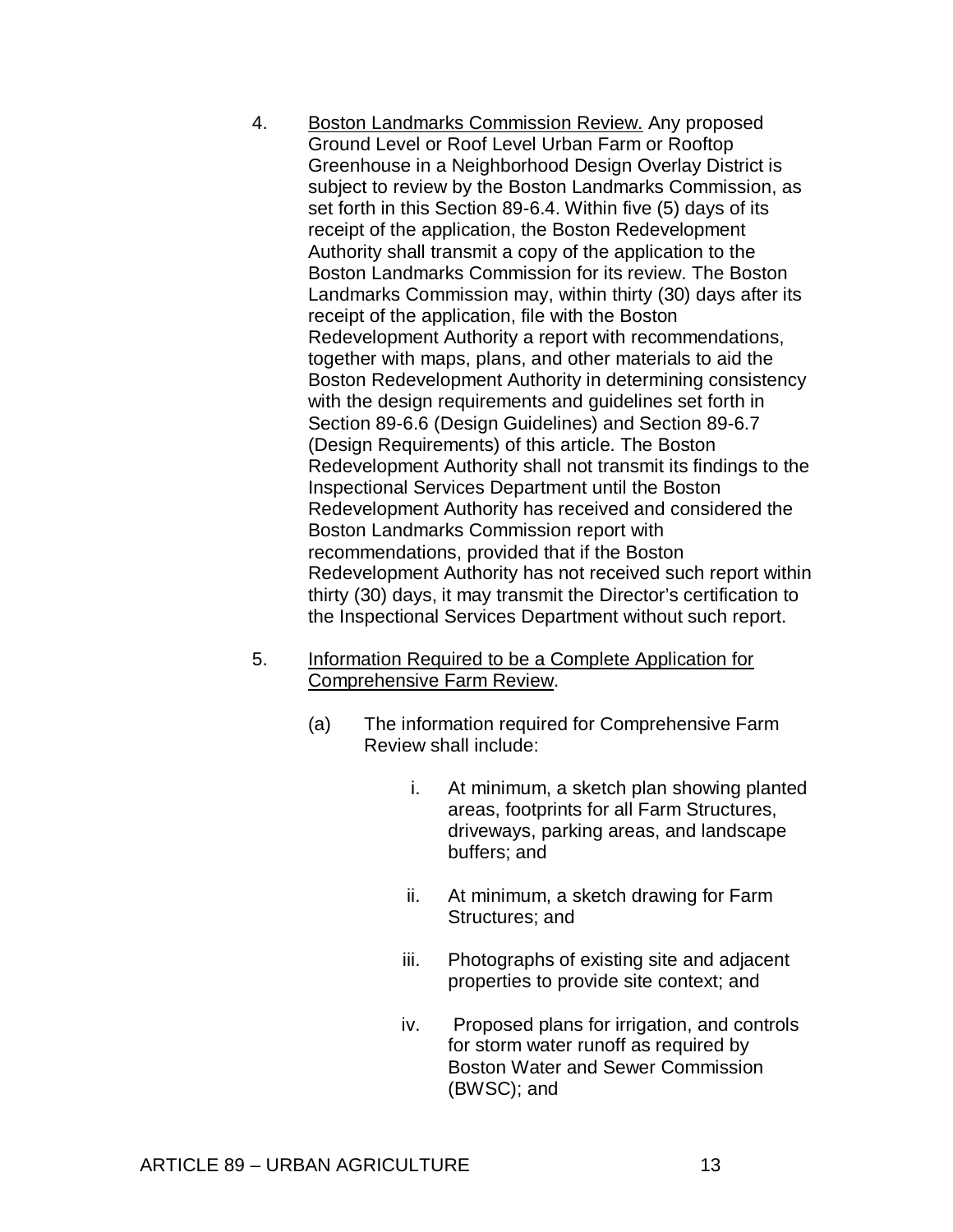- 4. Boston Landmarks Commission Review. Any proposed Ground Level or Roof Level Urban Farm or Rooftop Greenhouse in a Neighborhood Design Overlay District is subject to review by the Boston Landmarks Commission, as set forth in this Section 89-6.4. Within five (5) days of its receipt of the application, the Boston Redevelopment Authority shall transmit a copy of the application to the Boston Landmarks Commission for its review. The Boston Landmarks Commission may, within thirty (30) days after its receipt of the application, file with the Boston Redevelopment Authority a report with recommendations, together with maps, plans, and other materials to aid the Boston Redevelopment Authority in determining consistency with the design requirements and guidelines set forth in Section 89-6.6 (Design Guidelines) and Section 89-6.7 (Design Requirements) of this article. The Boston Redevelopment Authority shall not transmit its findings to the Inspectional Services Department until the Boston Redevelopment Authority has received and considered the Boston Landmarks Commission report with recommendations, provided that if the Boston Redevelopment Authority has not received such report within thirty (30) days, it may transmit the Director's certification to the Inspectional Services Department without such report.
- 5. Information Required to be a Complete Application for Comprehensive Farm Review.
	- (a) The information required for Comprehensive Farm Review shall include:
		- i. At minimum, a sketch plan showing planted areas, footprints for all Farm Structures, driveways, parking areas, and landscape buffers; and
		- ii. At minimum, a sketch drawing for Farm Structures; and
		- iii. Photographs of existing site and adjacent properties to provide site context; and
		- iv. Proposed plans for irrigation, and controls for storm water runoff as required by Boston Water and Sewer Commission (BWSC); and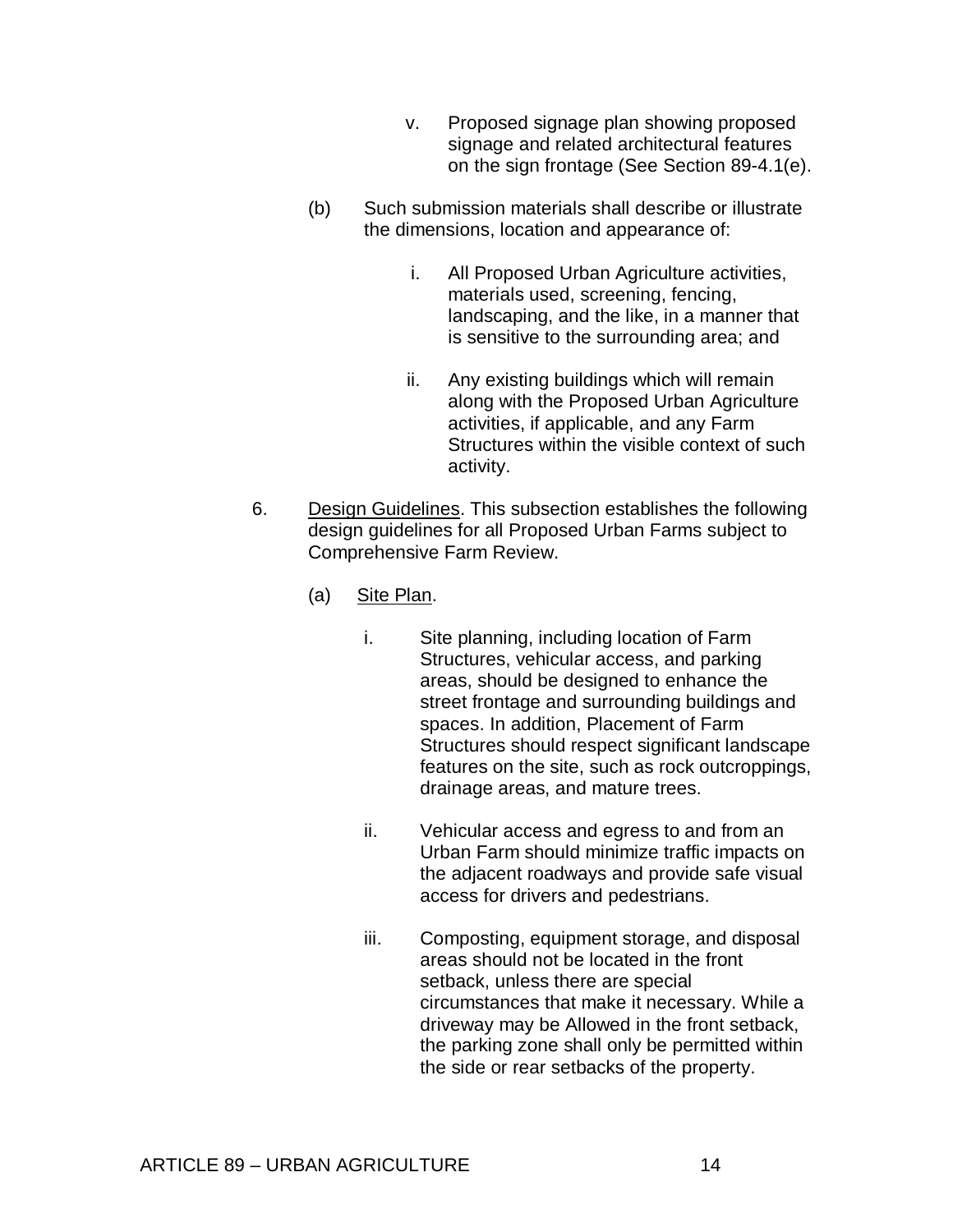- v. Proposed signage plan showing proposed signage and related architectural features on the sign frontage (See Section 89-4.1(e).
- (b) Such submission materials shall describe or illustrate the dimensions, location and appearance of:
	- i. All Proposed Urban Agriculture activities, materials used, screening, fencing, landscaping, and the like, in a manner that is sensitive to the surrounding area; and
	- ii. Any existing buildings which will remain along with the Proposed Urban Agriculture activities, if applicable, and any Farm Structures within the visible context of such activity.
- 6. Design Guidelines. This subsection establishes the following design guidelines for all Proposed Urban Farms subject to Comprehensive Farm Review.
	- (a) Site Plan.
		- i. Site planning, including location of Farm Structures, vehicular access, and parking areas, should be designed to enhance the street frontage and surrounding buildings and spaces. In addition, Placement of Farm Structures should respect significant landscape features on the site, such as rock outcroppings, drainage areas, and mature trees.
		- ii. Vehicular access and egress to and from an Urban Farm should minimize traffic impacts on the adjacent roadways and provide safe visual access for drivers and pedestrians.
		- iii. Composting, equipment storage, and disposal areas should not be located in the front setback, unless there are special circumstances that make it necessary. While a driveway may be Allowed in the front setback, the parking zone shall only be permitted within the side or rear setbacks of the property.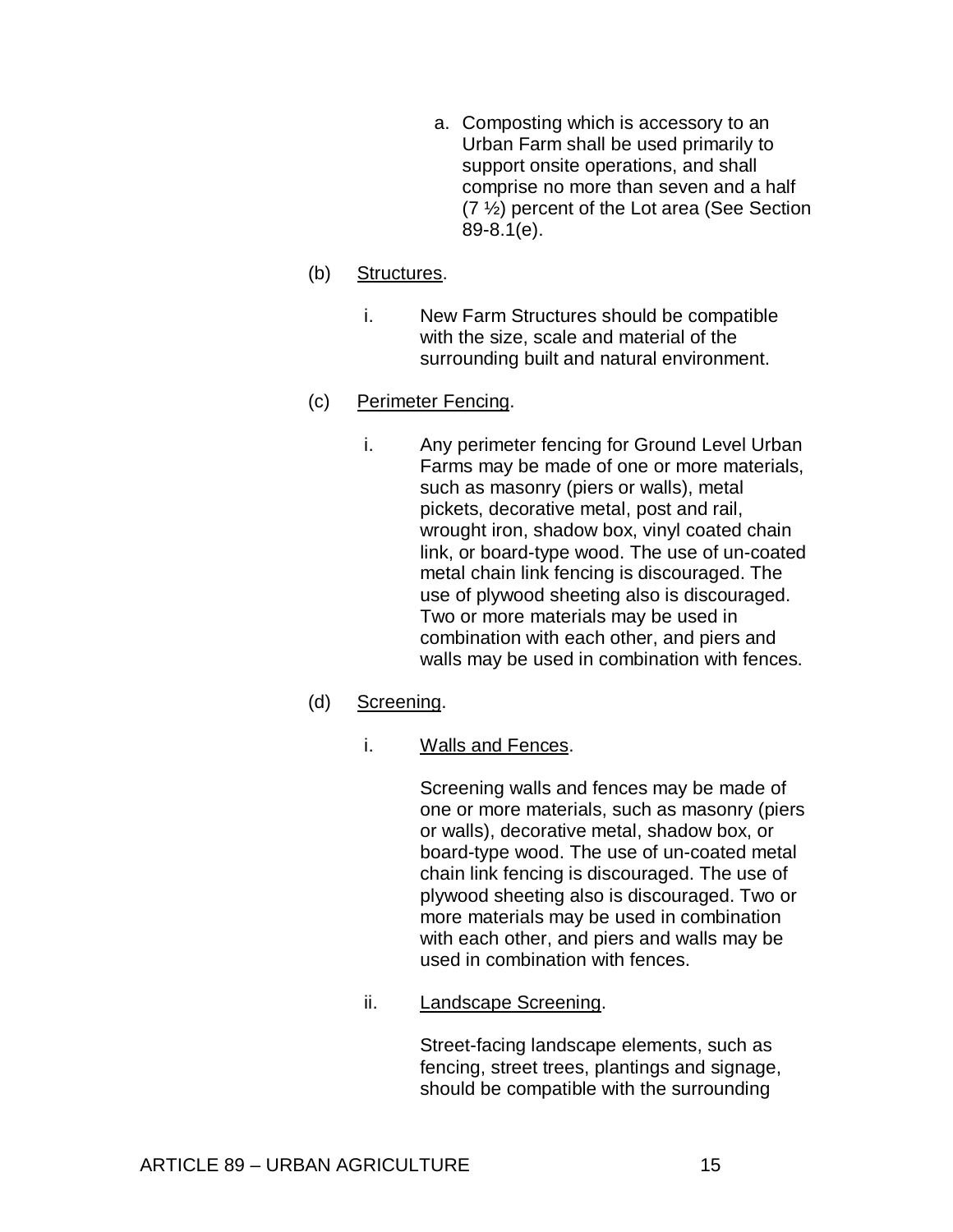a. Composting which is accessory to an Urban Farm shall be used primarily to support onsite operations, and shall comprise no more than seven and a half (7 ½) percent of the Lot area (See Section 89-8.1(e).

# (b) Structures.

i. New Farm Structures should be compatible with the size, scale and material of the surrounding built and natural environment.

## (c) Perimeter Fencing.

i. Any perimeter fencing for Ground Level Urban Farms may be made of one or more materials, such as masonry (piers or walls), metal pickets, decorative metal, post and rail, wrought iron, shadow box, vinyl coated chain link, or board-type wood. The use of un-coated metal chain link fencing is discouraged. The use of plywood sheeting also is discouraged. Two or more materials may be used in combination with each other, and piers and walls may be used in combination with fences.

# (d) Screening.

i. Walls and Fences.

Screening walls and fences may be made of one or more materials, such as masonry (piers or walls), decorative metal, shadow box, or board-type wood. The use of un-coated metal chain link fencing is discouraged. The use of plywood sheeting also is discouraged. Two or more materials may be used in combination with each other, and piers and walls may be used in combination with fences.

ii. Landscape Screening.

Street-facing landscape elements, such as fencing, street trees, plantings and signage, should be compatible with the surrounding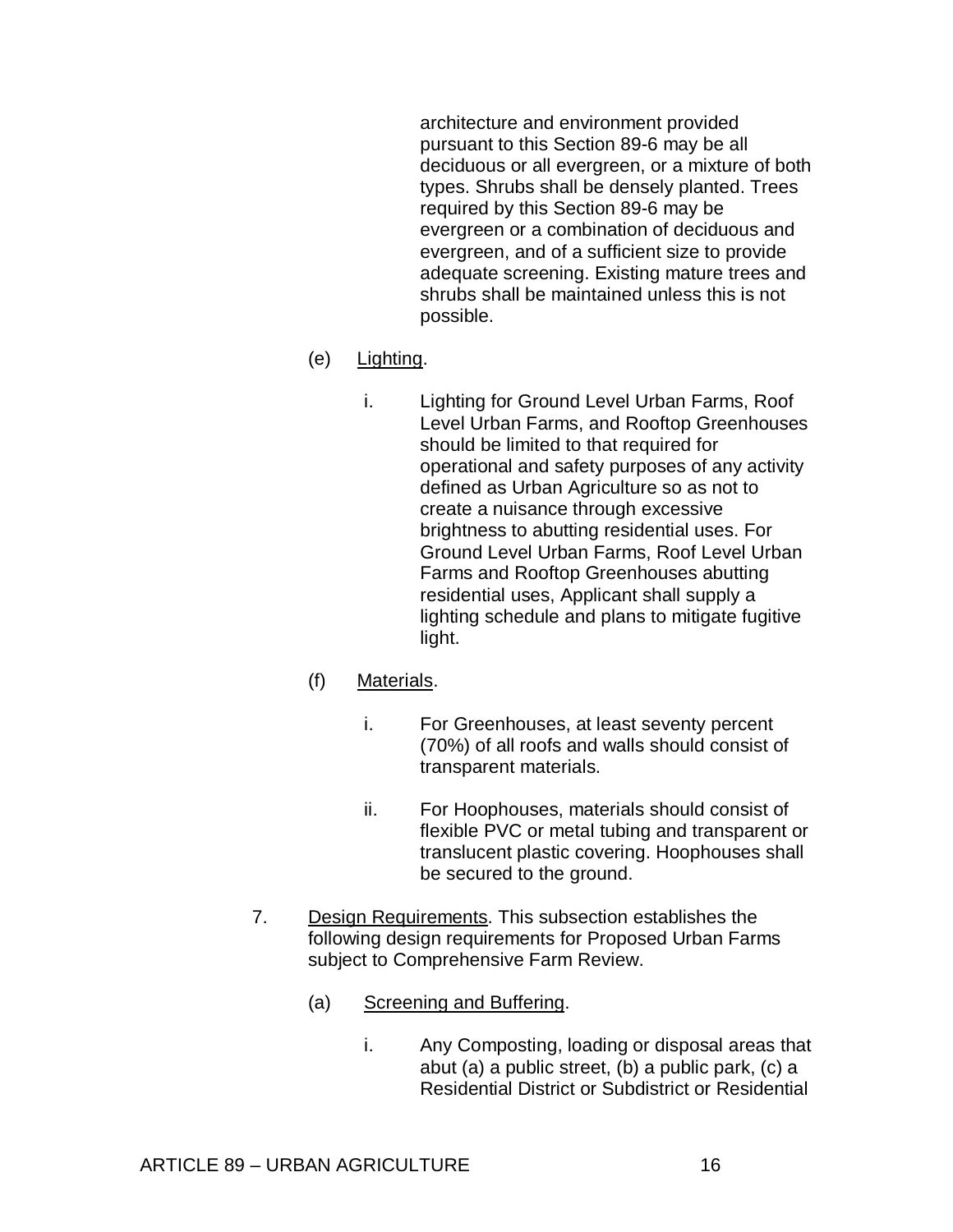architecture and environment provided pursuant to this Section 89-6 may be all deciduous or all evergreen, or a mixture of both types. Shrubs shall be densely planted. Trees required by this Section 89-6 may be evergreen or a combination of deciduous and evergreen, and of a sufficient size to provide adequate screening. Existing mature trees and shrubs shall be maintained unless this is not possible.

## (e) Lighting.

i. Lighting for Ground Level Urban Farms, Roof Level Urban Farms, and Rooftop Greenhouses should be limited to that required for operational and safety purposes of any activity defined as Urban Agriculture so as not to create a nuisance through excessive brightness to abutting residential uses. For Ground Level Urban Farms, Roof Level Urban Farms and Rooftop Greenhouses abutting residential uses, Applicant shall supply a lighting schedule and plans to mitigate fugitive light.

# (f) Materials.

- i. For Greenhouses, at least seventy percent (70%) of all roofs and walls should consist of transparent materials.
- ii. For Hoophouses, materials should consist of flexible PVC or metal tubing and transparent or translucent plastic covering. Hoophouses shall be secured to the ground.
- 7. Design Requirements. This subsection establishes the following design requirements for Proposed Urban Farms subject to Comprehensive Farm Review.
	- (a) Screening and Buffering.
		- i. Any Composting, loading or disposal areas that abut (a) a public street, (b) a public park, (c) a Residential District or Subdistrict or Residential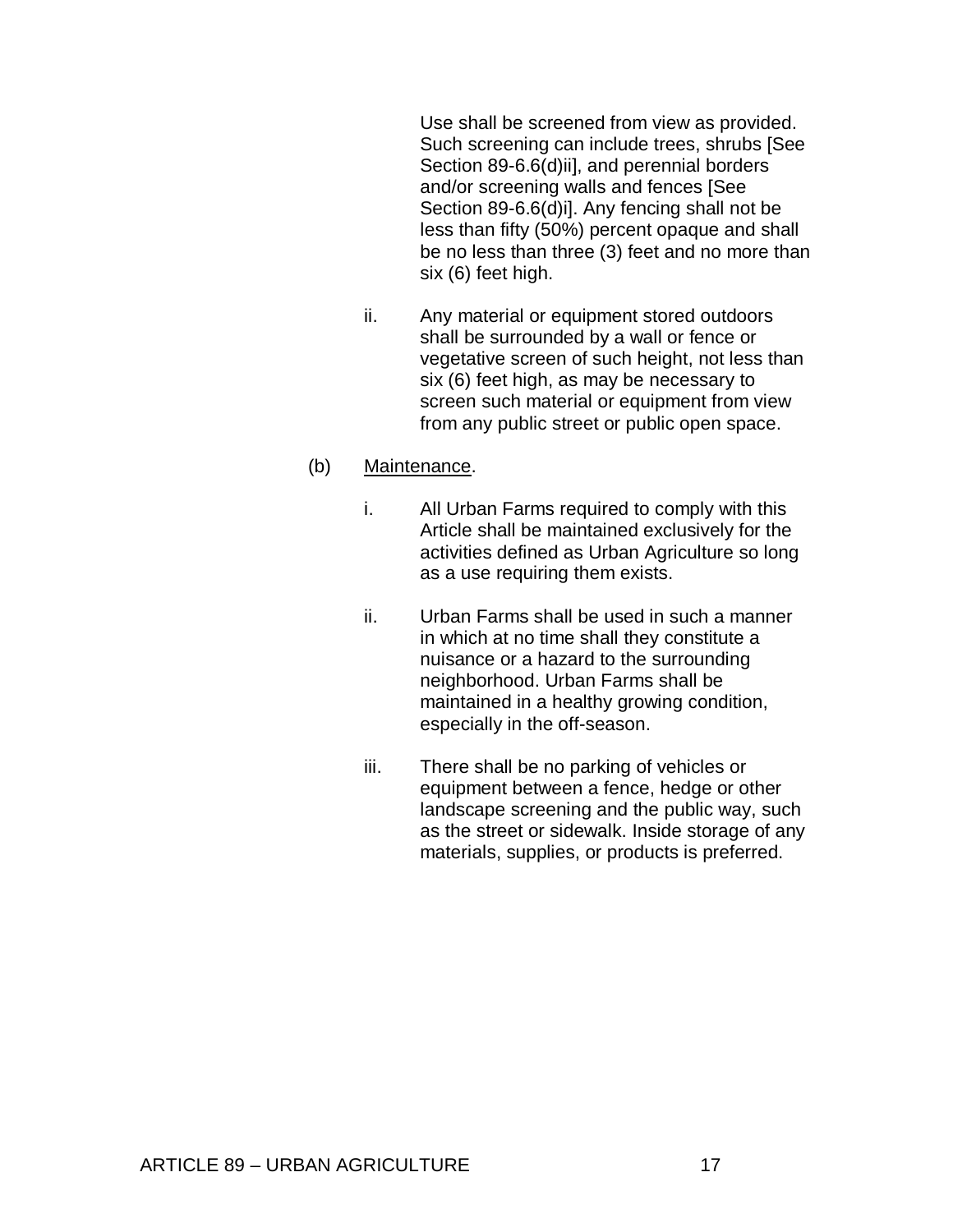Use shall be screened from view as provided. Such screening can include trees, shrubs [See Section 89-6.6(d)ii], and perennial borders and/or screening walls and fences [See Section 89-6.6(d)i]. Any fencing shall not be less than fifty (50%) percent opaque and shall be no less than three (3) feet and no more than six (6) feet high.

ii. Any material or equipment stored outdoors shall be surrounded by a wall or fence or vegetative screen of such height, not less than six (6) feet high, as may be necessary to screen such material or equipment from view from any public street or public open space.

#### (b) Maintenance.

- i. All Urban Farms required to comply with this Article shall be maintained exclusively for the activities defined as Urban Agriculture so long as a use requiring them exists.
- ii. Urban Farms shall be used in such a manner in which at no time shall they constitute a nuisance or a hazard to the surrounding neighborhood. Urban Farms shall be maintained in a healthy growing condition, especially in the off-season.
- iii. There shall be no parking of vehicles or equipment between a fence, hedge or other landscape screening and the public way, such as the street or sidewalk. Inside storage of any materials, supplies, or products is preferred.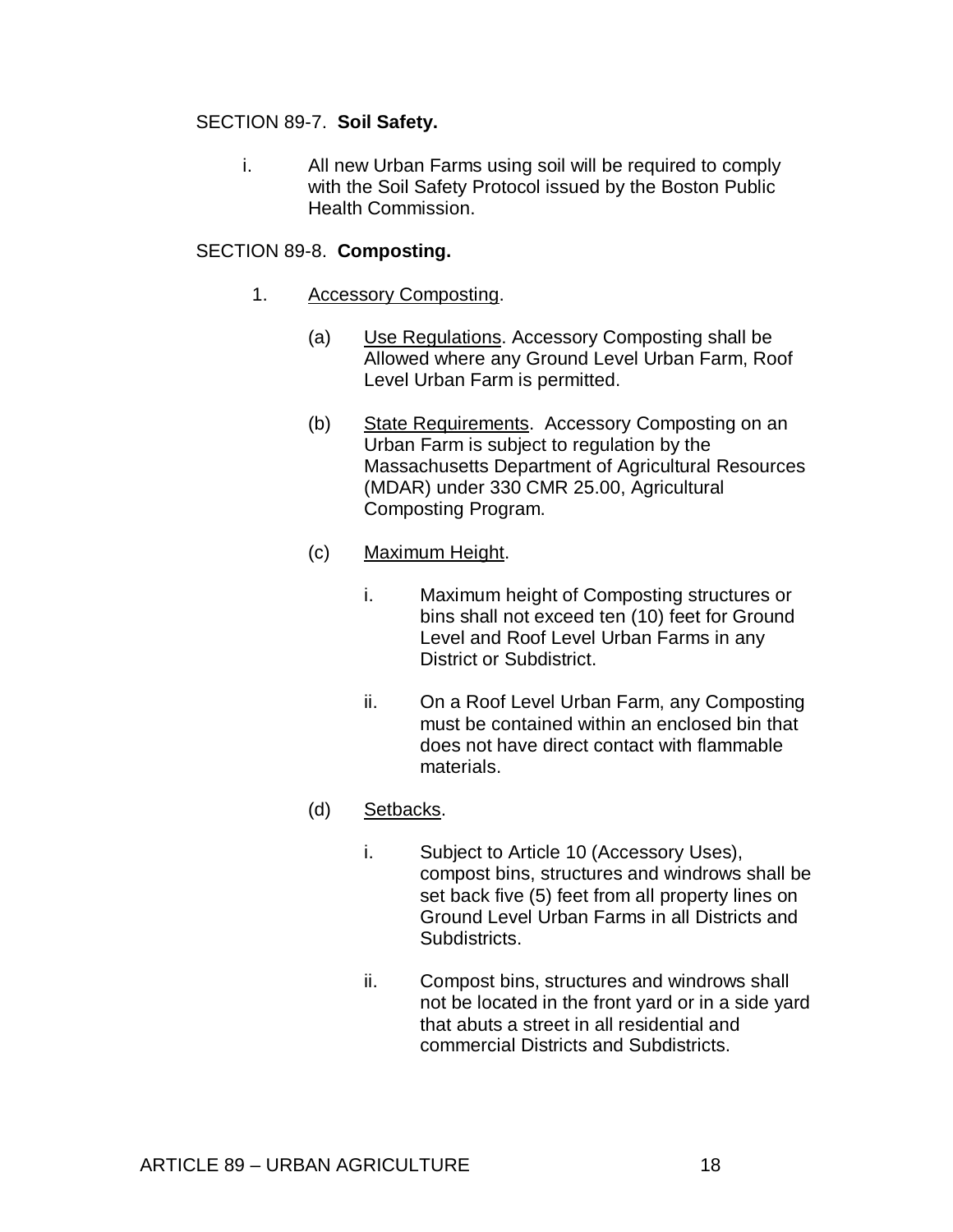## SECTION 89-7. **Soil Safety.**

i. All new Urban Farms using soil will be required to comply with the Soil Safety Protocol issued by the Boston Public Health Commission.

#### SECTION 89-8. **Composting.**

- 1. Accessory Composting.
	- (a) Use Regulations. Accessory Composting shall be Allowed where any Ground Level Urban Farm, Roof Level Urban Farm is permitted.
	- (b) State Requirements. Accessory Composting on an Urban Farm is subject to regulation by the Massachusetts Department of Agricultural Resources (MDAR) under 330 CMR 25.00, Agricultural Composting Program.

## (c) Maximum Height.

- i. Maximum height of Composting structures or bins shall not exceed ten (10) feet for Ground Level and Roof Level Urban Farms in any District or Subdistrict.
- ii. On a Roof Level Urban Farm, any Composting must be contained within an enclosed bin that does not have direct contact with flammable materials.

#### (d) Setbacks.

- i. Subject to Article 10 (Accessory Uses), compost bins, structures and windrows shall be set back five (5) feet from all property lines on Ground Level Urban Farms in all Districts and Subdistricts.
- ii. Compost bins, structures and windrows shall not be located in the front yard or in a side yard that abuts a street in all residential and commercial Districts and Subdistricts.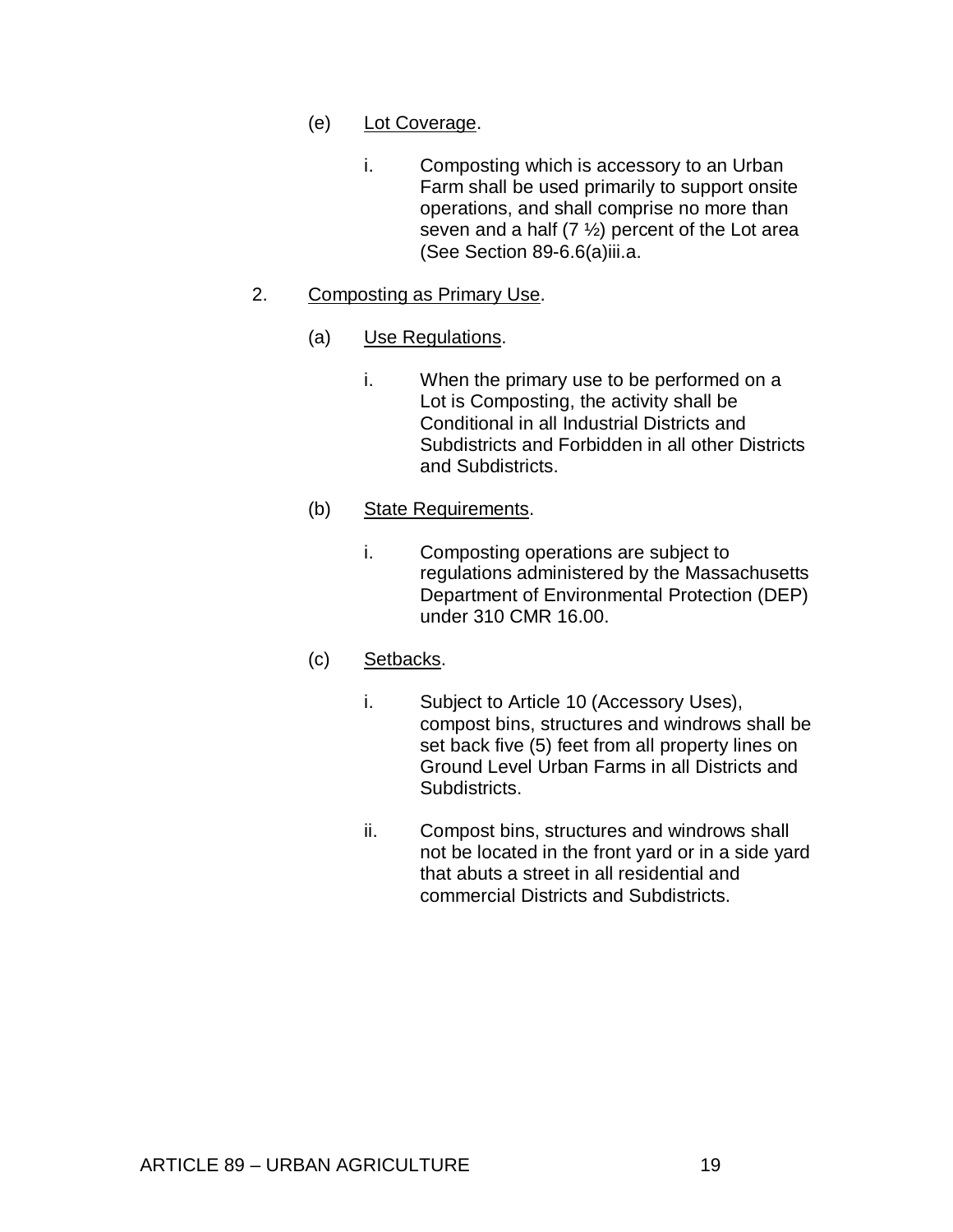- (e) Lot Coverage.
	- i. Composting which is accessory to an Urban Farm shall be used primarily to support onsite operations, and shall comprise no more than seven and a half  $(7 \frac{1}{2})$  percent of the Lot area (See Section 89-6.6(a)iii.a.

# 2. Composting as Primary Use.

- (a) Use Regulations.
	- i. When the primary use to be performed on a Lot is Composting, the activity shall be Conditional in all Industrial Districts and Subdistricts and Forbidden in all other Districts and Subdistricts.

## (b) State Requirements.

i. Composting operations are subject to regulations administered by the Massachusetts Department of Environmental Protection (DEP) under 310 CMR 16.00.

# (c) Setbacks.

- i. Subject to Article 10 (Accessory Uses), compost bins, structures and windrows shall be set back five (5) feet from all property lines on Ground Level Urban Farms in all Districts and Subdistricts.
- ii. Compost bins, structures and windrows shall not be located in the front yard or in a side yard that abuts a street in all residential and commercial Districts and Subdistricts.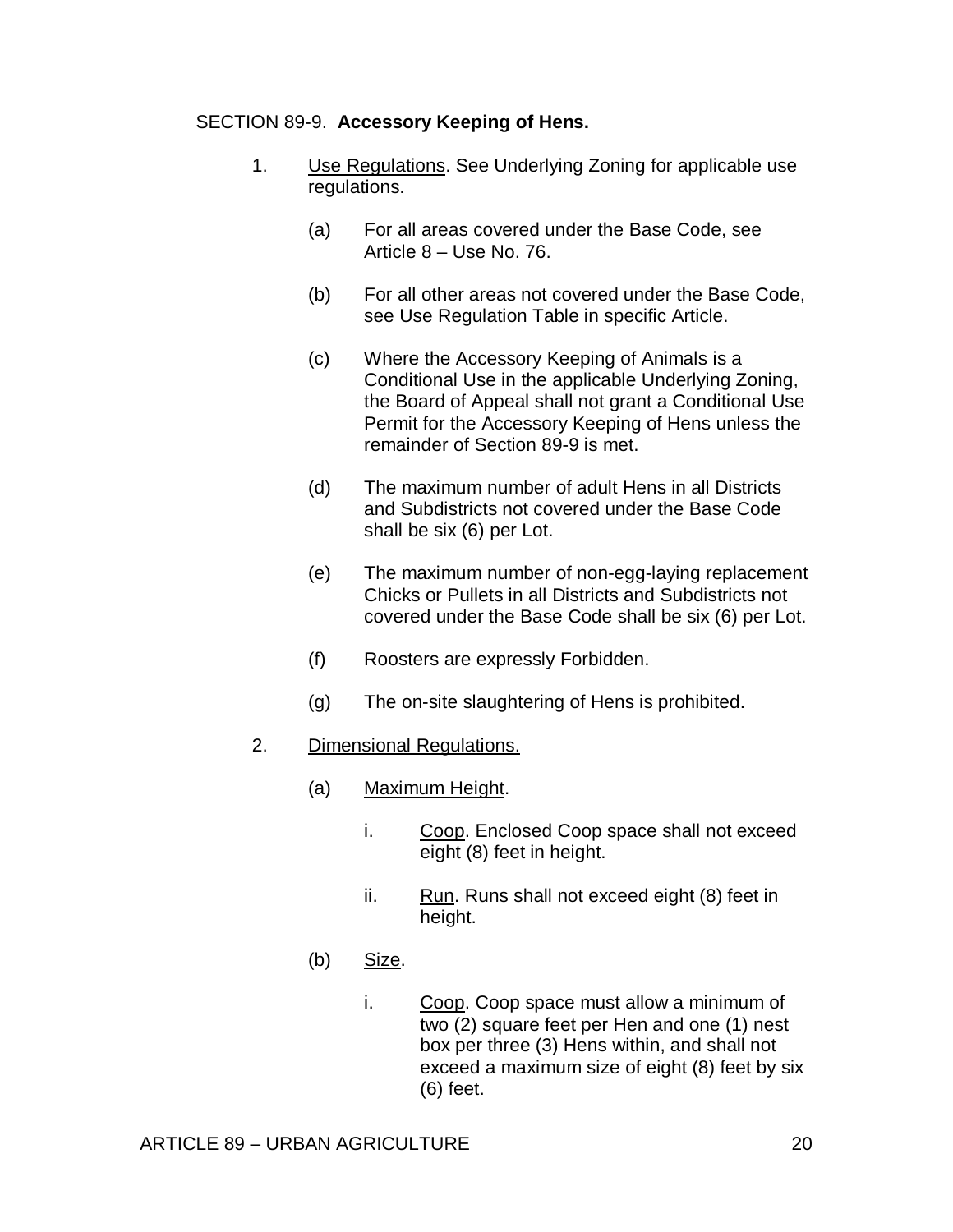#### SECTION 89-9. **Accessory Keeping of Hens.**

- 1. Use Regulations. See Underlying Zoning for applicable use regulations.
	- (a) For all areas covered under the Base Code, see Article 8 – Use No. 76.
	- (b) For all other areas not covered under the Base Code, see Use Regulation Table in specific Article.
	- (c) Where the Accessory Keeping of Animals is a Conditional Use in the applicable Underlying Zoning, the Board of Appeal shall not grant a Conditional Use Permit for the Accessory Keeping of Hens unless the remainder of Section 89-9 is met.
	- (d) The maximum number of adult Hens in all Districts and Subdistricts not covered under the Base Code shall be six (6) per Lot.
	- (e) The maximum number of non-egg-laying replacement Chicks or Pullets in all Districts and Subdistricts not covered under the Base Code shall be six (6) per Lot.
	- (f) Roosters are expressly Forbidden.
	- (g) The on-site slaughtering of Hens is prohibited.

# 2. Dimensional Regulations.

- (a) Maximum Height.
	- i. Coop. Enclosed Coop space shall not exceed eight (8) feet in height.
	- ii. Run. Runs shall not exceed eight (8) feet in height.
- (b) Size.
	- i. Coop. Coop space must allow a minimum of two (2) square feet per Hen and one (1) nest box per three (3) Hens within, and shall not exceed a maximum size of eight (8) feet by six (6) feet.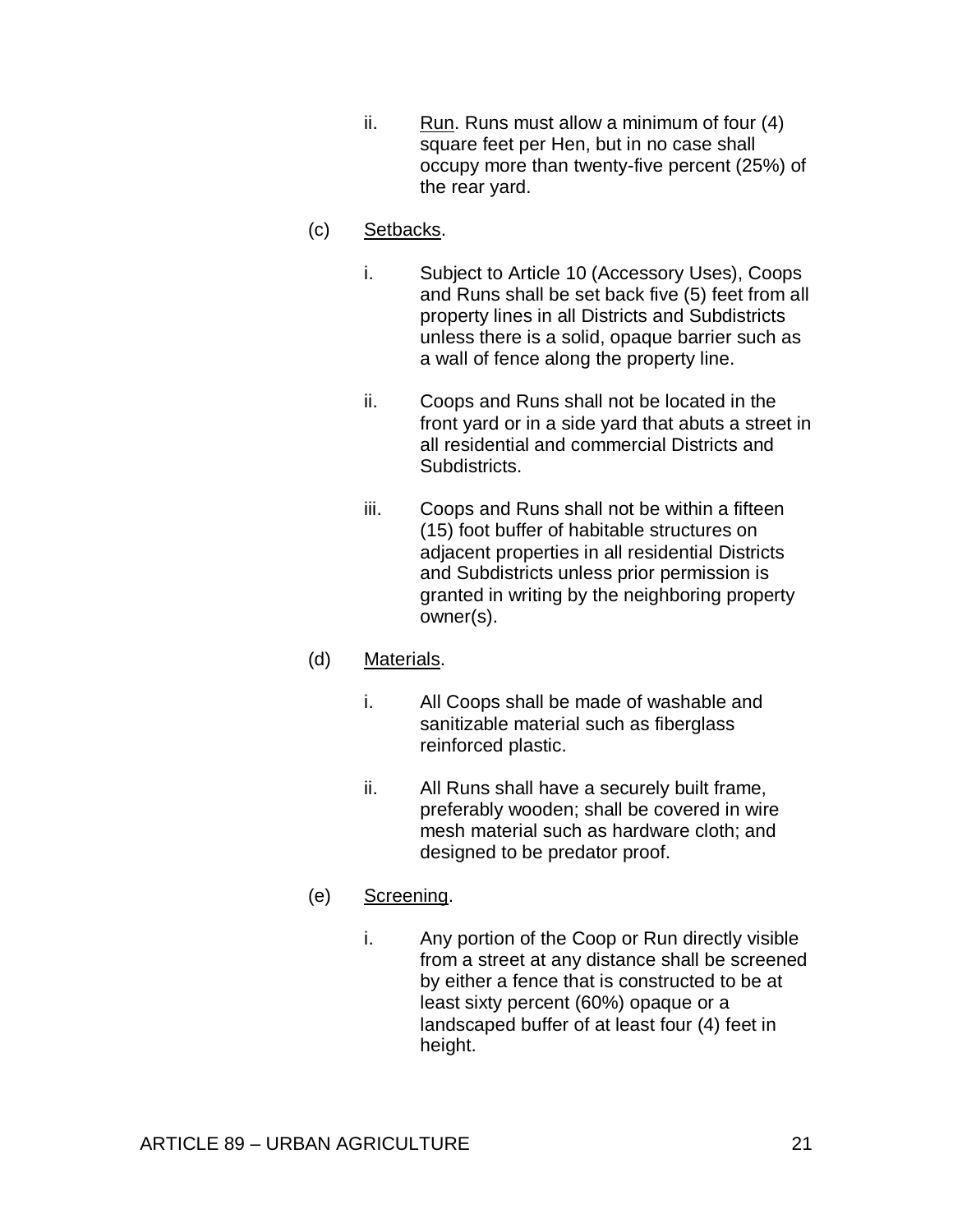ii. Run. Runs must allow a minimum of four  $(4)$ square feet per Hen, but in no case shall occupy more than twenty-five percent (25%) of the rear yard.

# (c) Setbacks.

- i. Subject to Article 10 (Accessory Uses), Coops and Runs shall be set back five (5) feet from all property lines in all Districts and Subdistricts unless there is a solid, opaque barrier such as a wall of fence along the property line.
- ii. Coops and Runs shall not be located in the front yard or in a side yard that abuts a street in all residential and commercial Districts and Subdistricts.
- iii. Coops and Runs shall not be within a fifteen (15) foot buffer of habitable structures on adjacent properties in all residential Districts and Subdistricts unless prior permission is granted in writing by the neighboring property owner(s).

# (d) Materials.

- i. All Coops shall be made of washable and sanitizable material such as fiberglass reinforced plastic.
- ii. All Runs shall have a securely built frame, preferably wooden; shall be covered in wire mesh material such as hardware cloth; and designed to be predator proof.

# (e) Screening.

i. Any portion of the Coop or Run directly visible from a street at any distance shall be screened by either a fence that is constructed to be at least sixty percent (60%) opaque or a landscaped buffer of at least four (4) feet in height.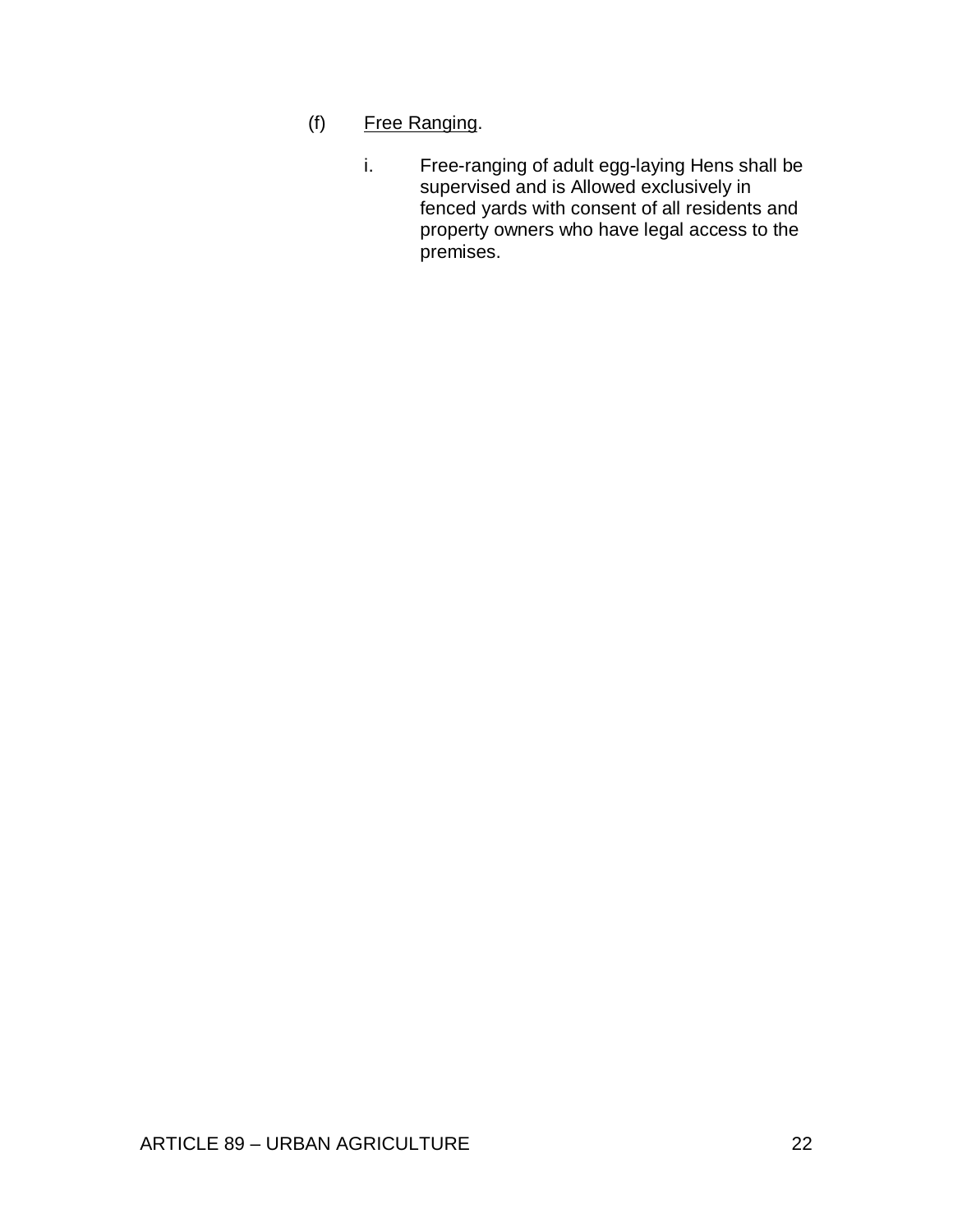- (f) Free Ranging.
	- i. Free-ranging of adult egg-laying Hens shall be supervised and is Allowed exclusively in fenced yards with consent of all residents and property owners who have legal access to the premises.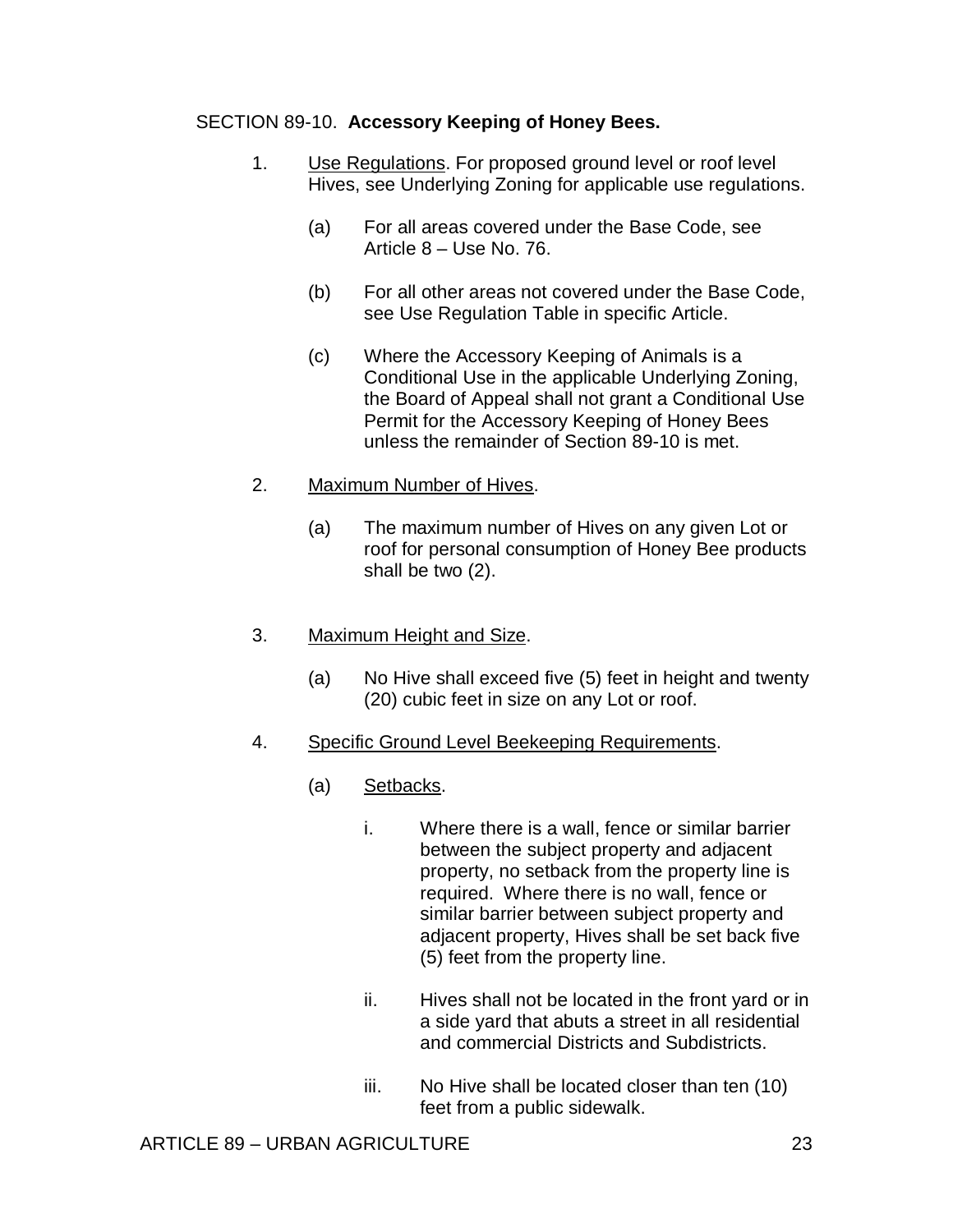# SECTION 89-10. **Accessory Keeping of Honey Bees.**

- 1. Use Regulations. For proposed ground level or roof level Hives, see Underlying Zoning for applicable use regulations.
	- (a) For all areas covered under the Base Code, see Article 8 – Use No. 76.
	- (b) For all other areas not covered under the Base Code, see Use Regulation Table in specific Article.
	- (c) Where the Accessory Keeping of Animals is a Conditional Use in the applicable Underlying Zoning, the Board of Appeal shall not grant a Conditional Use Permit for the Accessory Keeping of Honey Bees unless the remainder of Section 89-10 is met.

## 2. Maximum Number of Hives.

(a) The maximum number of Hives on any given Lot or roof for personal consumption of Honey Bee products shall be two (2).

# 3. Maximum Height and Size.

- (a) No Hive shall exceed five (5) feet in height and twenty (20) cubic feet in size on any Lot or roof.
- 4. Specific Ground Level Beekeeping Requirements.
	- (a) Setbacks.
		- i. Where there is a wall, fence or similar barrier between the subject property and adjacent property, no setback from the property line is required. Where there is no wall, fence or similar barrier between subject property and adjacent property, Hives shall be set back five (5) feet from the property line.
		- ii. Hives shall not be located in the front yard or in a side yard that abuts a street in all residential and commercial Districts and Subdistricts.
		- iii. No Hive shall be located closer than ten (10) feet from a public sidewalk.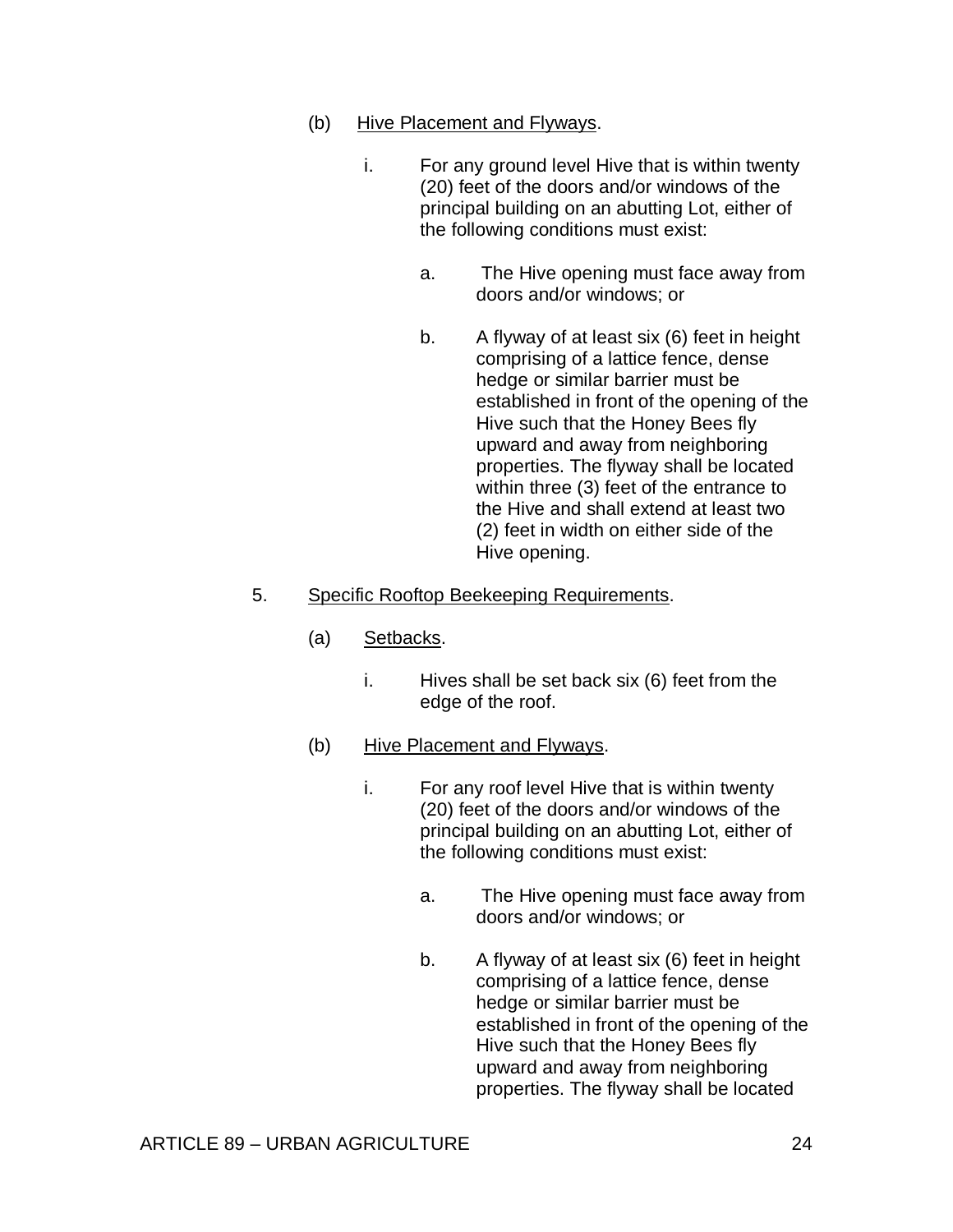- (b) Hive Placement and Flyways.
	- i. For any ground level Hive that is within twenty (20) feet of the doors and/or windows of the principal building on an abutting Lot, either of the following conditions must exist:
		- a. The Hive opening must face away from doors and/or windows; or
		- b. A flyway of at least six (6) feet in height comprising of a lattice fence, dense hedge or similar barrier must be established in front of the opening of the Hive such that the Honey Bees fly upward and away from neighboring properties. The flyway shall be located within three (3) feet of the entrance to the Hive and shall extend at least two (2) feet in width on either side of the Hive opening.

## 5. Specific Rooftop Beekeeping Requirements.

- (a) Setbacks.
	- i. Hives shall be set back six (6) feet from the edge of the roof.
- (b) Hive Placement and Flyways.
	- i. For any roof level Hive that is within twenty (20) feet of the doors and/or windows of the principal building on an abutting Lot, either of the following conditions must exist:
		- a. The Hive opening must face away from doors and/or windows; or
		- b. A flyway of at least six (6) feet in height comprising of a lattice fence, dense hedge or similar barrier must be established in front of the opening of the Hive such that the Honey Bees fly upward and away from neighboring properties. The flyway shall be located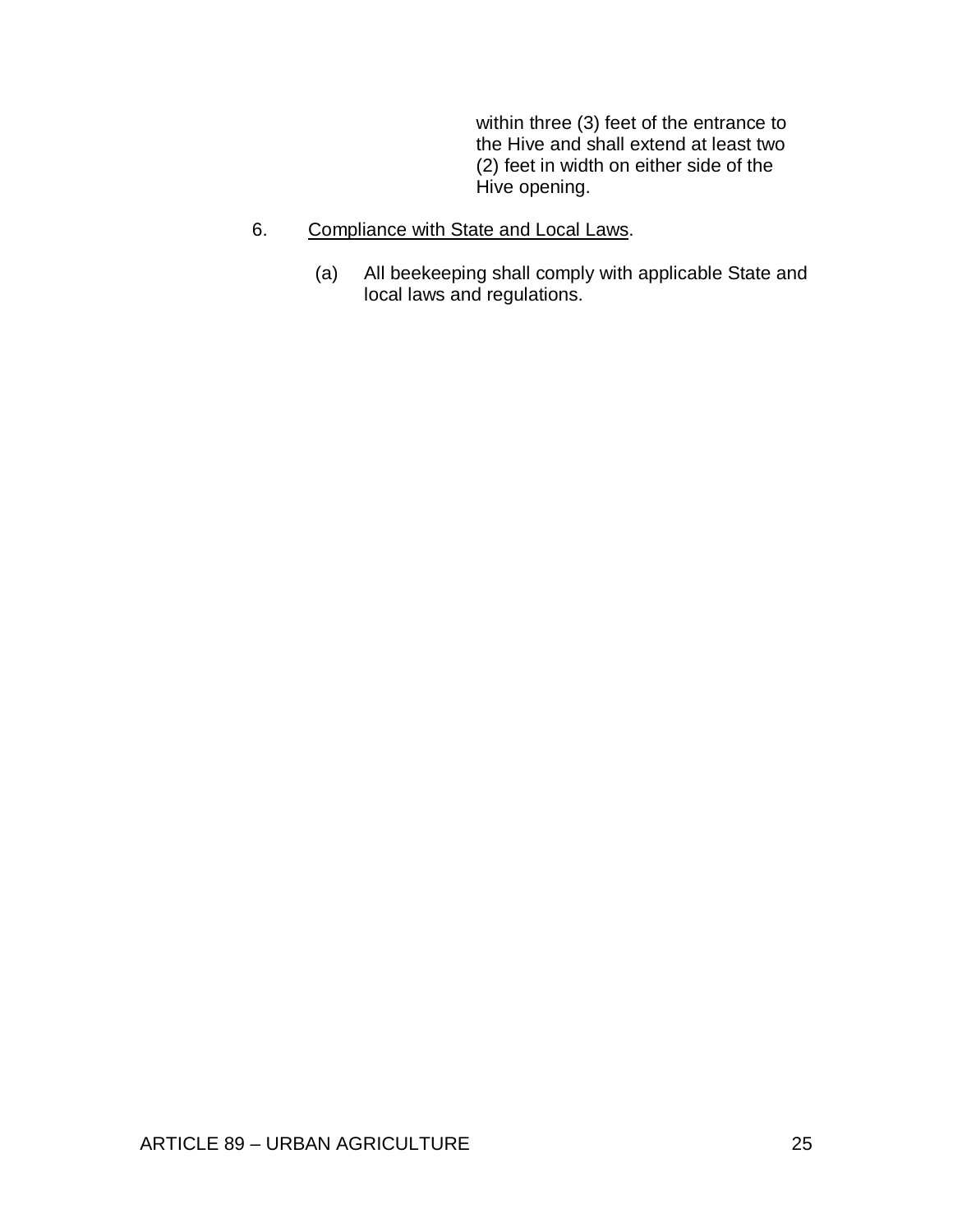within three (3) feet of the entrance to the Hive and shall extend at least two (2) feet in width on either side of the Hive opening.

- 6. Compliance with State and Local Laws.
	- (a) All beekeeping shall comply with applicable State and local laws and regulations.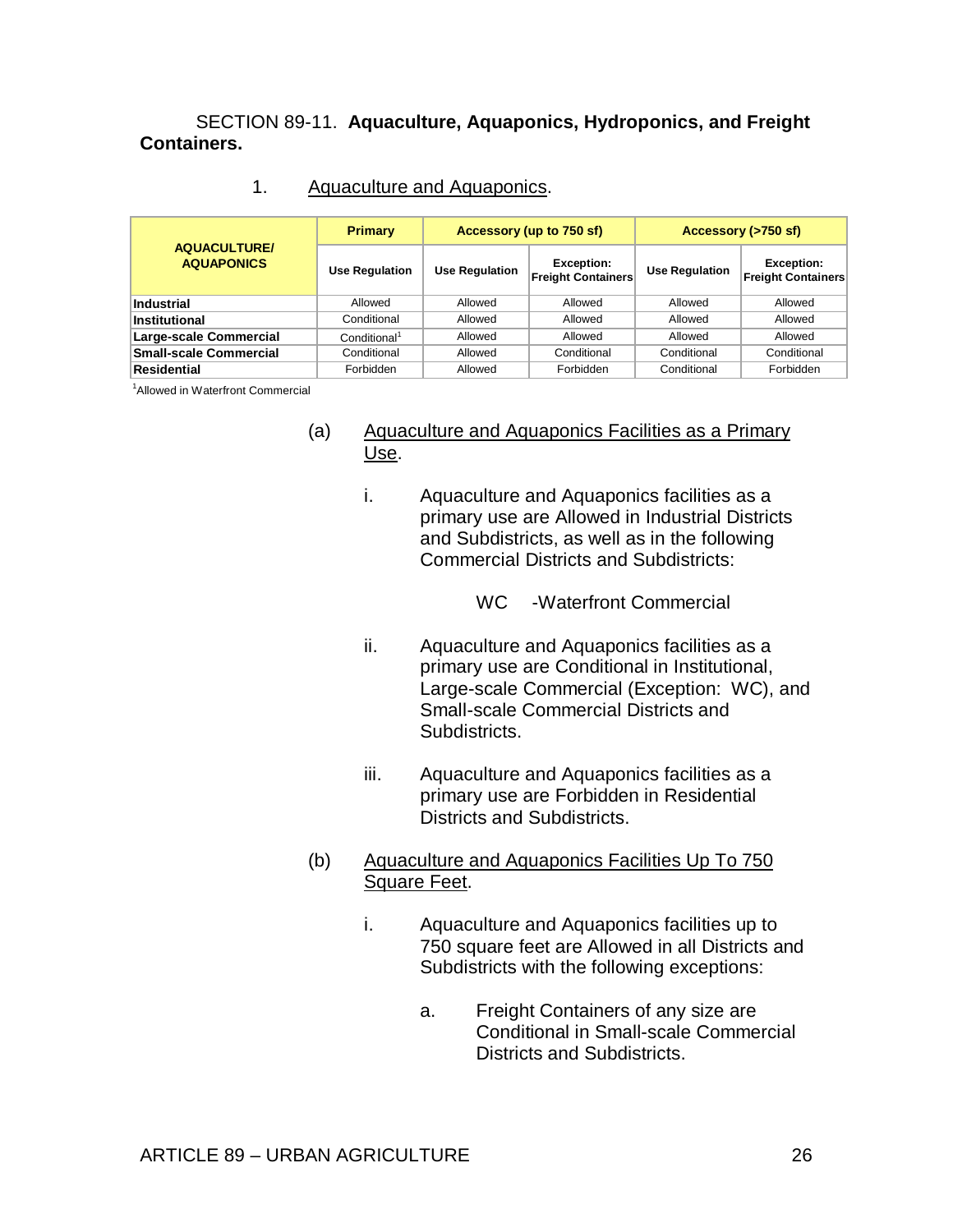SECTION 89-11. **Aquaculture, Aquaponics, Hydroponics, and Freight Containers.** 

| Aquaculture and Aquaponics. |
|-----------------------------|
|                             |

|                                          | <b>Primary</b>           |                       | Accessory (up to 750 sf)                       | Accessory (>750 sf)   |                                                |
|------------------------------------------|--------------------------|-----------------------|------------------------------------------------|-----------------------|------------------------------------------------|
| <b>AQUACULTURE/</b><br><b>AQUAPONICS</b> | <b>Use Regulation</b>    | <b>Use Regulation</b> | <b>Exception:</b><br><b>Freight Containers</b> | <b>Use Regulation</b> | <b>Exception:</b><br><b>Freight Containers</b> |
| <b>Industrial</b>                        | Allowed                  | Allowed               | Allowed                                        | Allowed               | Allowed                                        |
| Institutional                            | Conditional              | Allowed               | Allowed                                        | Allowed               | Allowed                                        |
| Large-scale Commercial                   | Conditional <sup>1</sup> | Allowed               | Allowed                                        | Allowed               | Allowed                                        |
| <b>Small-scale Commercial</b>            | Conditional              | Allowed               | Conditional                                    | Conditional           | Conditional                                    |
| <b>Residential</b>                       | Forbidden                | Allowed               | Forbidden                                      | Conditional           | Forbidden                                      |

<sup>1</sup>Allowed in Waterfront Commercial

- (a) Aquaculture and Aquaponics Facilities as a Primary Use.
	- i. Aquaculture and Aquaponics facilities as a primary use are Allowed in Industrial Districts and Subdistricts, as well as in the following Commercial Districts and Subdistricts:

WC -Waterfront Commercial

- ii. Aquaculture and Aquaponics facilities as a primary use are Conditional in Institutional, Large-scale Commercial (Exception: WC), and Small-scale Commercial Districts and Subdistricts.
- iii. Aquaculture and Aquaponics facilities as a primary use are Forbidden in Residential Districts and Subdistricts.
- (b) Aquaculture and Aquaponics Facilities Up To 750 Square Feet.
	- i. Aquaculture and Aquaponics facilities up to 750 square feet are Allowed in all Districts and Subdistricts with the following exceptions:
		- a. Freight Containers of any size are Conditional in Small-scale Commercial Districts and Subdistricts.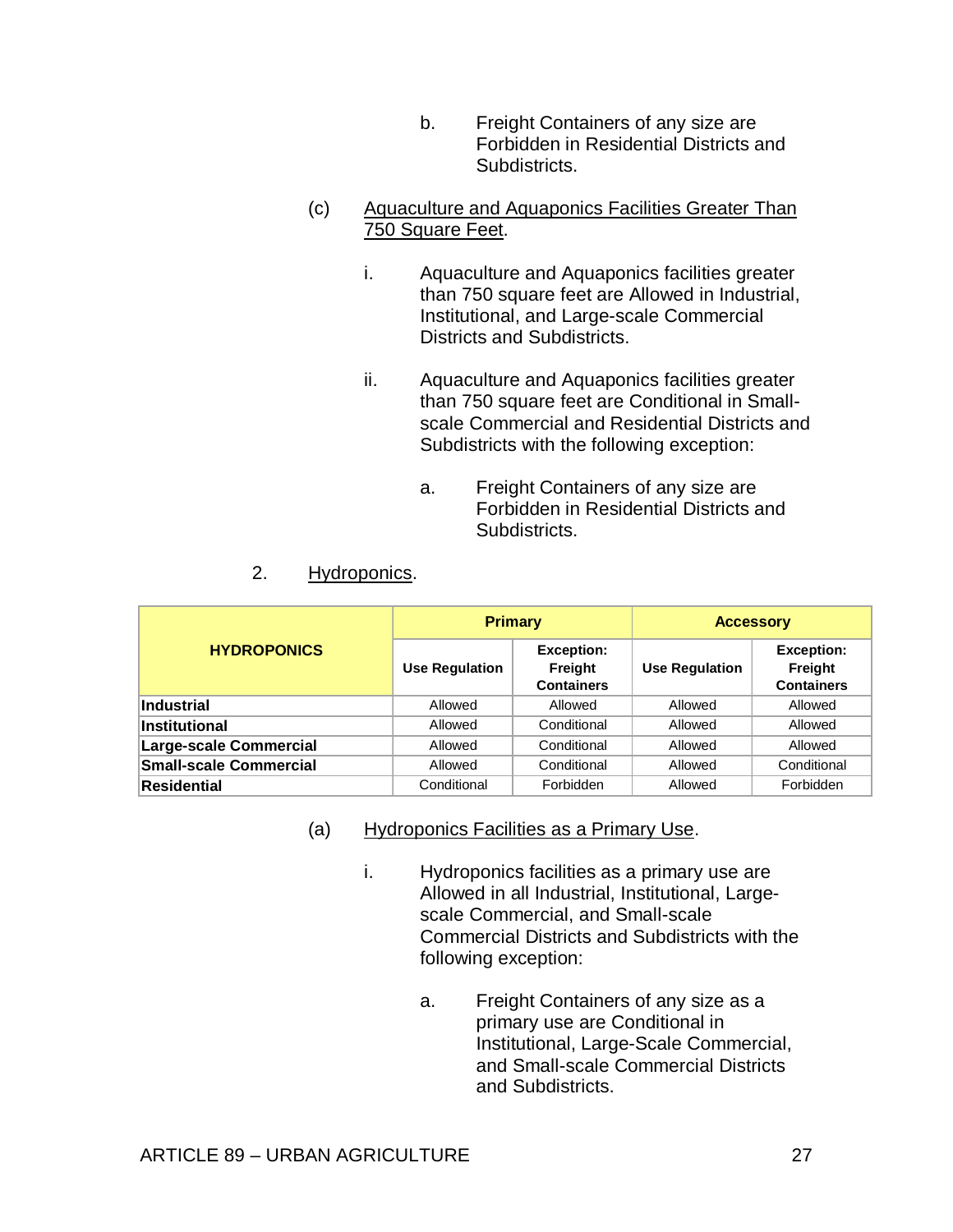b. Freight Containers of any size are Forbidden in Residential Districts and Subdistricts.

## (c) Aquaculture and Aquaponics Facilities Greater Than 750 Square Feet.

- i. Aquaculture and Aquaponics facilities greater than 750 square feet are Allowed in Industrial, Institutional, and Large-scale Commercial Districts and Subdistricts.
- ii. Aquaculture and Aquaponics facilities greater than 750 square feet are Conditional in Smallscale Commercial and Residential Districts and Subdistricts with the following exception:
	- a. Freight Containers of any size are Forbidden in Residential Districts and Subdistricts.

# 2. Hydroponics.

|                               | <b>Primary</b>        |                                                   | <b>Accessory</b>      |                                                   |
|-------------------------------|-----------------------|---------------------------------------------------|-----------------------|---------------------------------------------------|
| <b>HYDROPONICS</b>            | <b>Use Regulation</b> | <b>Exception:</b><br>Freight<br><b>Containers</b> | <b>Use Regulation</b> | <b>Exception:</b><br>Freight<br><b>Containers</b> |
| Industrial                    | Allowed               | Allowed                                           | Allowed               | Allowed                                           |
| <b>Institutional</b>          | Allowed               | Conditional                                       | Allowed               | Allowed                                           |
| <b>Large-scale Commercial</b> | Allowed               | Conditional                                       | Allowed               | Allowed                                           |
| <b>Small-scale Commercial</b> | Allowed               | Conditional                                       | Allowed               | Conditional                                       |
| Residential                   | Conditional           | Forbidden                                         | Allowed               | Forbidden                                         |

- (a) Hydroponics Facilities as a Primary Use.
	- i. Hydroponics facilities as a primary use are Allowed in all Industrial, Institutional, Largescale Commercial, and Small-scale Commercial Districts and Subdistricts with the following exception:
		- a. Freight Containers of any size as a primary use are Conditional in Institutional, Large-Scale Commercial, and Small-scale Commercial Districts and Subdistricts.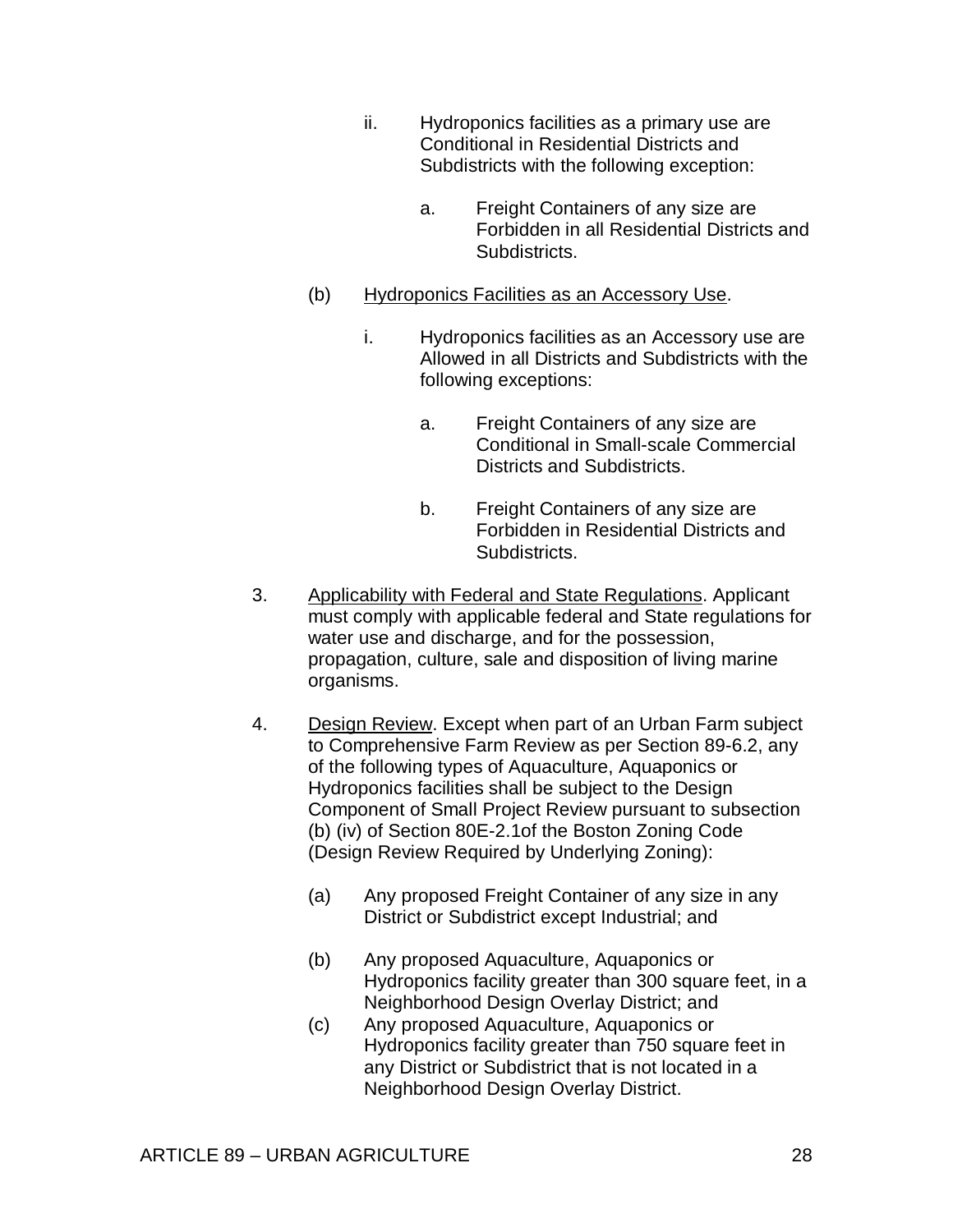- ii. Hydroponics facilities as a primary use are Conditional in Residential Districts and Subdistricts with the following exception:
	- a. Freight Containers of any size are Forbidden in all Residential Districts and Subdistricts.
- (b) Hydroponics Facilities as an Accessory Use.
	- i. Hydroponics facilities as an Accessory use are Allowed in all Districts and Subdistricts with the following exceptions:
		- a. Freight Containers of any size are Conditional in Small-scale Commercial Districts and Subdistricts.
		- b. Freight Containers of any size are Forbidden in Residential Districts and Subdistricts.
- 3. Applicability with Federal and State Regulations. Applicant must comply with applicable federal and State regulations for water use and discharge, and for the possession, propagation, culture, sale and disposition of living marine organisms.
- 4. Design Review. Except when part of an Urban Farm subject to Comprehensive Farm Review as per Section 89-6.2, any of the following types of Aquaculture, Aquaponics or Hydroponics facilities shall be subject to the Design Component of Small Project Review pursuant to subsection (b) (iv) of Section 80E-2.1of the Boston Zoning Code (Design Review Required by Underlying Zoning):
	- (a) Any proposed Freight Container of any size in any District or Subdistrict except Industrial; and
	- (b) Any proposed Aquaculture, Aquaponics or Hydroponics facility greater than 300 square feet, in a Neighborhood Design Overlay District; and
	- (c) Any proposed Aquaculture, Aquaponics or Hydroponics facility greater than 750 square feet in any District or Subdistrict that is not located in a Neighborhood Design Overlay District.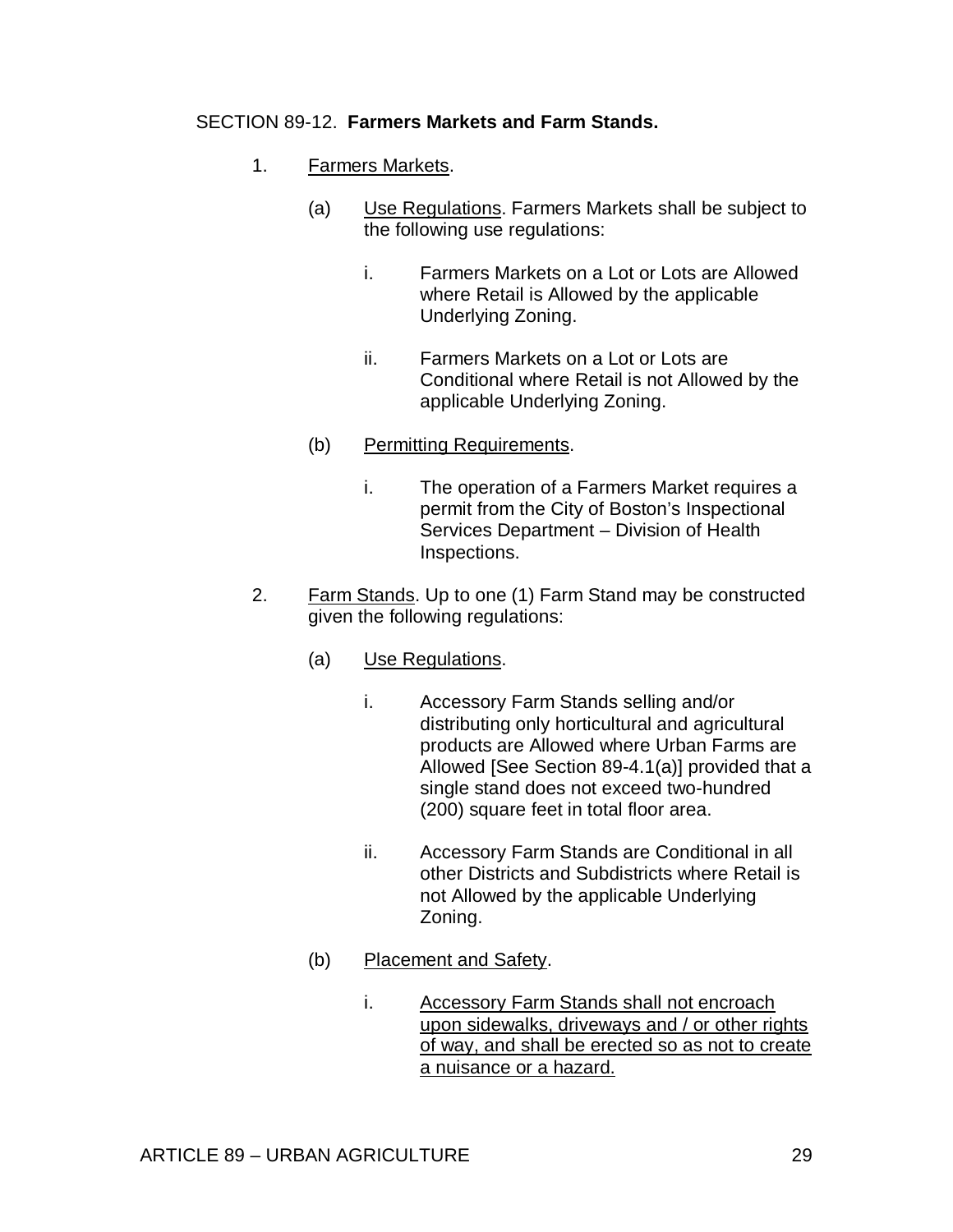#### SECTION 89-12. **Farmers Markets and Farm Stands.**

- 1. Farmers Markets.
	- (a) Use Regulations. Farmers Markets shall be subject to the following use regulations:
		- i. Farmers Markets on a Lot or Lots are Allowed where Retail is Allowed by the applicable Underlying Zoning.
		- ii. Farmers Markets on a Lot or Lots are Conditional where Retail is not Allowed by the applicable Underlying Zoning.
	- (b) Permitting Requirements.
		- i. The operation of a Farmers Market requires a permit from the City of Boston's Inspectional Services Department – Division of Health Inspections.
- 2. Farm Stands. Up to one (1) Farm Stand may be constructed given the following regulations:
	- (a) Use Regulations.
		- i. Accessory Farm Stands selling and/or distributing only horticultural and agricultural products are Allowed where Urban Farms are Allowed [See Section 89-4.1(a)] provided that a single stand does not exceed two-hundred (200) square feet in total floor area.
		- ii. Accessory Farm Stands are Conditional in all other Districts and Subdistricts where Retail is not Allowed by the applicable Underlying Zoning.
	- (b) Placement and Safety.
		- i. Accessory Farm Stands shall not encroach upon sidewalks, driveways and / or other rights of way, and shall be erected so as not to create a nuisance or a hazard.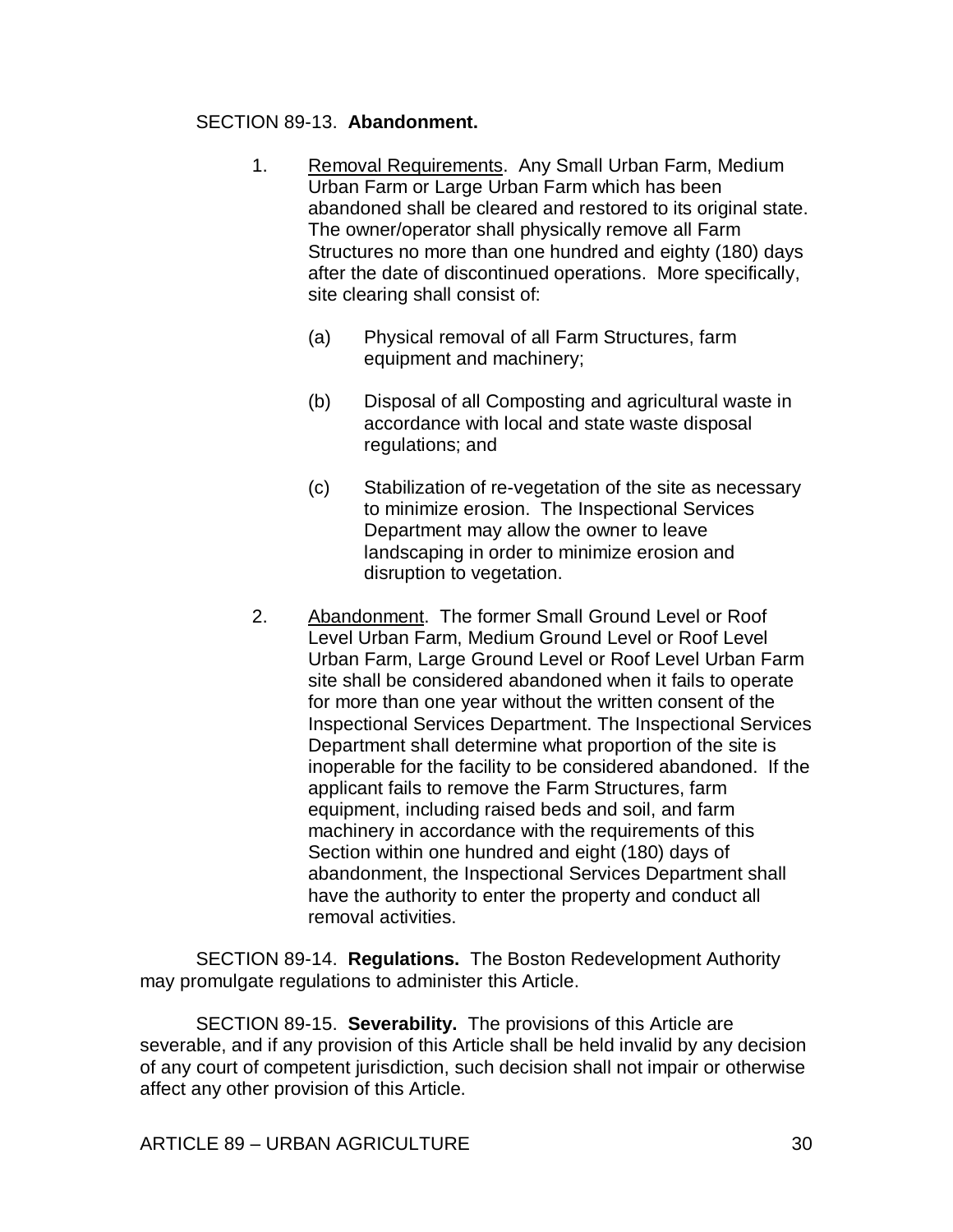#### SECTION 89-13. **Abandonment.**

- 1. Removal Requirements. Any Small Urban Farm, Medium Urban Farm or Large Urban Farm which has been abandoned shall be cleared and restored to its original state. The owner/operator shall physically remove all Farm Structures no more than one hundred and eighty (180) days after the date of discontinued operations. More specifically, site clearing shall consist of:
	- (a) Physical removal of all Farm Structures, farm equipment and machinery;
	- (b) Disposal of all Composting and agricultural waste in accordance with local and state waste disposal regulations; and
	- (c) Stabilization of re-vegetation of the site as necessary to minimize erosion. The Inspectional Services Department may allow the owner to leave landscaping in order to minimize erosion and disruption to vegetation.
- 2. Abandonment. The former Small Ground Level or Roof Level Urban Farm, Medium Ground Level or Roof Level Urban Farm, Large Ground Level or Roof Level Urban Farm site shall be considered abandoned when it fails to operate for more than one year without the written consent of the Inspectional Services Department. The Inspectional Services Department shall determine what proportion of the site is inoperable for the facility to be considered abandoned. If the applicant fails to remove the Farm Structures, farm equipment, including raised beds and soil, and farm machinery in accordance with the requirements of this Section within one hundred and eight (180) days of abandonment, the Inspectional Services Department shall have the authority to enter the property and conduct all removal activities.

SECTION 89-14. **Regulations.** The Boston Redevelopment Authority may promulgate regulations to administer this Article.

SECTION 89-15. **Severability.** The provisions of this Article are severable, and if any provision of this Article shall be held invalid by any decision of any court of competent jurisdiction, such decision shall not impair or otherwise affect any other provision of this Article.